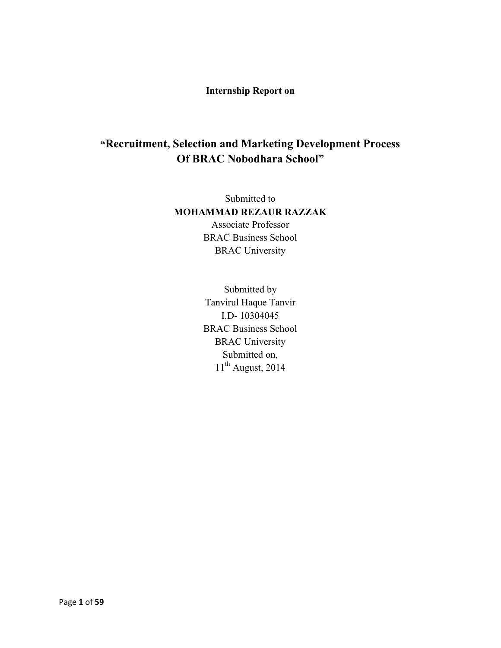## **Internship Report on**

# **"Recruitment, Selection and Marketing Development Process Of BRAC Nobodhara School"**

Submitted to **MOHAMMAD REZAUR RAZZAK**  Associate Professor BRAC Business School BRAC University

> Submitted by Tanvirul Haque Tanvir I.D- 10304045 BRAC Business School BRAC University Submitted on,  $11<sup>th</sup>$  August, 2014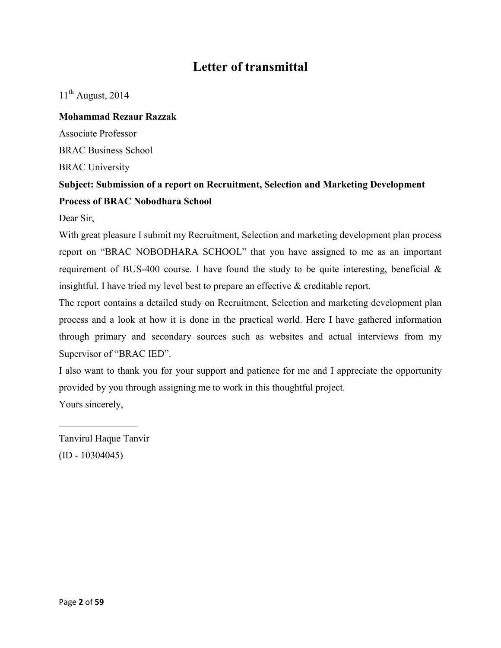# **Letter of transmittal**

 $11<sup>th</sup>$  August, 2014

## **Mohammad Rezaur Razzak**

Associate Professor

BRAC Business School

BRAC University

# **Subject: Submission of a report on Recruitment, Selection and Marketing Development Process of BRAC Nobodhara School**

Dear Sir,

With great pleasure I submit my Recruitment, Selection and marketing development plan process report on "BRAC NOBODHARA SCHOOL" that you have assigned to me as an important requirement of BUS-400 course. I have found the study to be quite interesting, beneficial & insightful. I have tried my level best to prepare an effective & creditable report.

The report contains a detailed study on Recruitment, Selection and marketing development plan process and a look at how it is done in the practical world. Here I have gathered information through primary and secondary sources such as websites and actual interviews from my Supervisor of "BRAC IED".

I also want to thank you for your support and patience for me and I appreciate the opportunity provided by you through assigning me to work in this thoughtful project. Yours sincerely,

Tanvirul Haque Tanvir (ID - 10304045)

 $\frac{1}{2}$  ,  $\frac{1}{2}$  ,  $\frac{1}{2}$  ,  $\frac{1}{2}$  ,  $\frac{1}{2}$  ,  $\frac{1}{2}$  ,  $\frac{1}{2}$  ,  $\frac{1}{2}$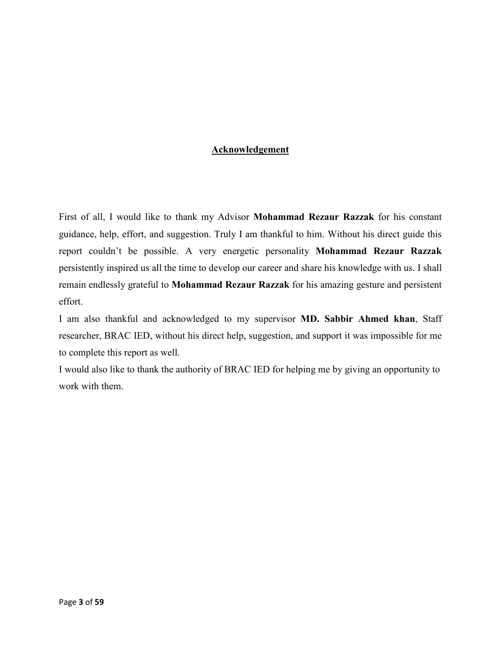## **Acknowledgement**

First of all, I would like to thank my Advisor **Mohammad Rezaur Razzak** for his constant guidance, help, effort, and suggestion. Truly I am thankful to him. Without his direct guide this report couldn't be possible. A very energetic personality **Mohammad Rezaur Razzak**  persistently inspired us all the time to develop our career and share his knowledge with us. I shall remain endlessly grateful to **Mohammad Rezaur Razzak** for his amazing gesture and persistent effort.

I am also thankful and acknowledged to my supervisor **MD. Sabbir Ahmed khan**, Staff researcher, BRAC IED, without his direct help, suggestion, and support it was impossible for me to complete this report as well.

I would also like to thank the authority of BRAC IED for helping me by giving an opportunity to work with them.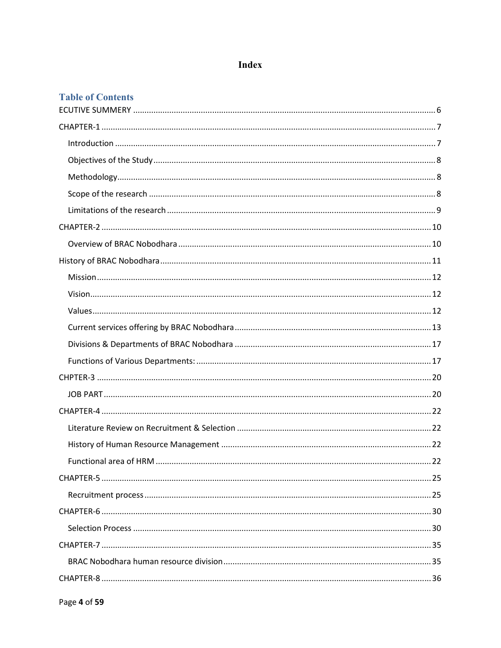# **Index**

# **Table of Contents**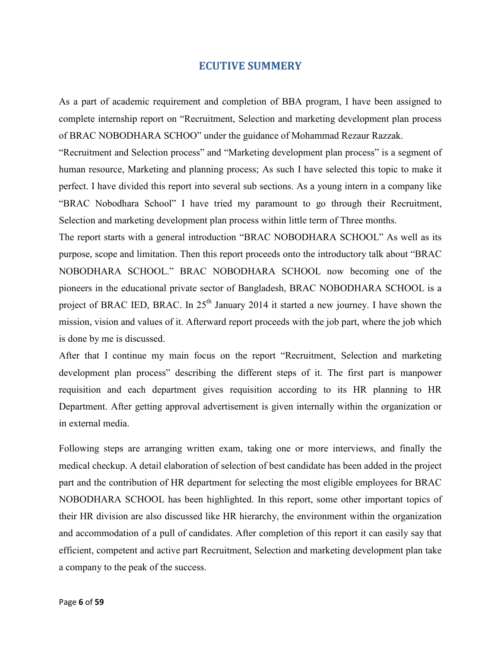## **ECUTIVE SUMMERY**

As a part of academic requirement and completion of BBA program, I have been assigned to complete internship report on "Recruitment, Selection and marketing development plan process of BRAC NOBODHARA SCHOO" under the guidance of Mohammad Rezaur Razzak.

"Recruitment and Selection process" and "Marketing development plan process" is a segment of human resource, Marketing and planning process; As such I have selected this topic to make it perfect. I have divided this report into several sub sections. As a young intern in a company like "BRAC Nobodhara School" I have tried my paramount to go through their Recruitment, Selection and marketing development plan process within little term of Three months.

The report starts with a general introduction "BRAC NOBODHARA SCHOOL" As well as its purpose, scope and limitation. Then this report proceeds onto the introductory talk about "BRAC NOBODHARA SCHOOL." BRAC NOBODHARA SCHOOL now becoming one of the pioneers in the educational private sector of Bangladesh, BRAC NOBODHARA SCHOOL is a project of BRAC IED, BRAC. In  $25<sup>th</sup>$  January 2014 it started a new journey. I have shown the mission, vision and values of it. Afterward report proceeds with the job part, where the job which is done by me is discussed.

After that I continue my main focus on the report "Recruitment, Selection and marketing development plan process" describing the different steps of it. The first part is manpower requisition and each department gives requisition according to its HR planning to HR Department. After getting approval advertisement is given internally within the organization or in external media.

Following steps are arranging written exam, taking one or more interviews, and finally the medical checkup. A detail elaboration of selection of best candidate has been added in the project part and the contribution of HR department for selecting the most eligible employees for BRAC NOBODHARA SCHOOL has been highlighted. In this report, some other important topics of their HR division are also discussed like HR hierarchy, the environment within the organization and accommodation of a pull of candidates. After completion of this report it can easily say that efficient, competent and active part Recruitment, Selection and marketing development plan take a company to the peak of the success.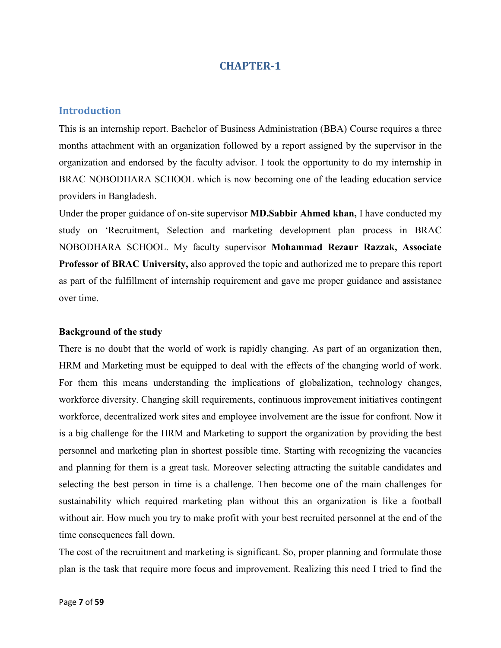#### **Introduction**

This is an internship report. Bachelor of Business Administration (BBA) Course requires a three months attachment with an organization followed by a report assigned by the supervisor in the organization and endorsed by the faculty advisor. I took the opportunity to do my internship in BRAC NOBODHARA SCHOOL which is now becoming one of the leading education service providers in Bangladesh.

Under the proper guidance of on-site supervisor **MD.Sabbir Ahmed khan,** I have conducted my study on 'Recruitment, Selection and marketing development plan process in BRAC NOBODHARA SCHOOL. My faculty supervisor **Mohammad Rezaur Razzak, Associate Professor of BRAC University,** also approved the topic and authorized me to prepare this report as part of the fulfillment of internship requirement and gave me proper guidance and assistance over time.

#### **Background of the study**

There is no doubt that the world of work is rapidly changing. As part of an organization then, HRM and Marketing must be equipped to deal with the effects of the changing world of work. For them this means understanding the implications of globalization, technology changes, workforce diversity. Changing skill requirements, continuous improvement initiatives contingent workforce, decentralized work sites and employee involvement are the issue for confront. Now it is a big challenge for the HRM and Marketing to support the organization by providing the best personnel and marketing plan in shortest possible time. Starting with recognizing the vacancies and planning for them is a great task. Moreover selecting attracting the suitable candidates and selecting the best person in time is a challenge. Then become one of the main challenges for sustainability which required marketing plan without this an organization is like a football without air. How much you try to make profit with your best recruited personnel at the end of the time consequences fall down.

The cost of the recruitment and marketing is significant. So, proper planning and formulate those plan is the task that require more focus and improvement. Realizing this need I tried to find the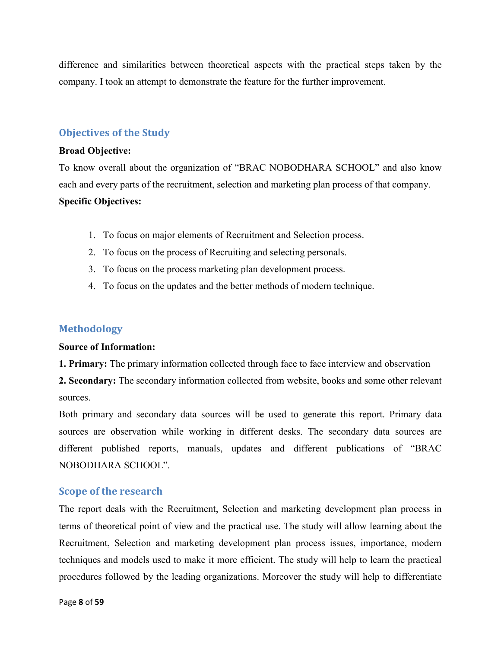difference and similarities between theoretical aspects with the practical steps taken by the company. I took an attempt to demonstrate the feature for the further improvement.

## **Objectives of the Study**

#### **Broad Objective:**

To know overall about the organization of "BRAC NOBODHARA SCHOOL" and also know each and every parts of the recruitment, selection and marketing plan process of that company. **Specific Objectives:** 

- 1. To focus on major elements of Recruitment and Selection process.
- 2. To focus on the process of Recruiting and selecting personals.
- 3. To focus on the process marketing plan development process.
- 4. To focus on the updates and the better methods of modern technique.

## **Methodology**

#### **Source of Information:**

**1. Primary:** The primary information collected through face to face interview and observation

**2. Secondary:** The secondary information collected from website, books and some other relevant sources.

Both primary and secondary data sources will be used to generate this report. Primary data sources are observation while working in different desks. The secondary data sources are different published reports, manuals, updates and different publications of "BRAC NOBODHARA SCHOOL".

## **Scope of the research**

The report deals with the Recruitment, Selection and marketing development plan process in terms of theoretical point of view and the practical use. The study will allow learning about the Recruitment, Selection and marketing development plan process issues, importance, modern techniques and models used to make it more efficient. The study will help to learn the practical procedures followed by the leading organizations. Moreover the study will help to differentiate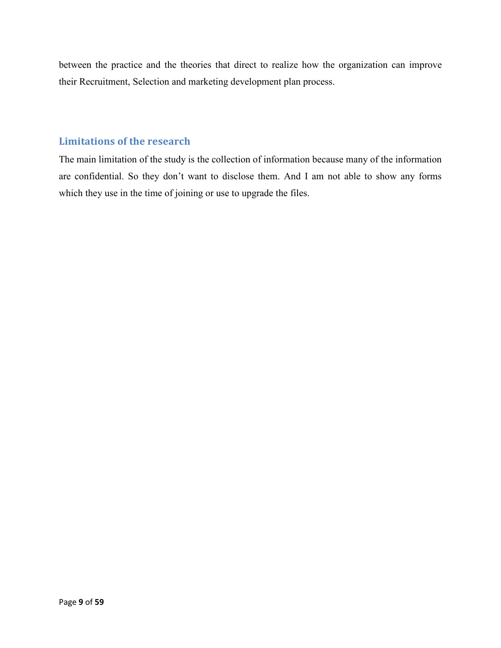between the practice and the theories that direct to realize how the organization can improve their Recruitment, Selection and marketing development plan process.

# **Limitations of the research**

The main limitation of the study is the collection of information because many of the information are confidential. So they don't want to disclose them. And I am not able to show any forms which they use in the time of joining or use to upgrade the files.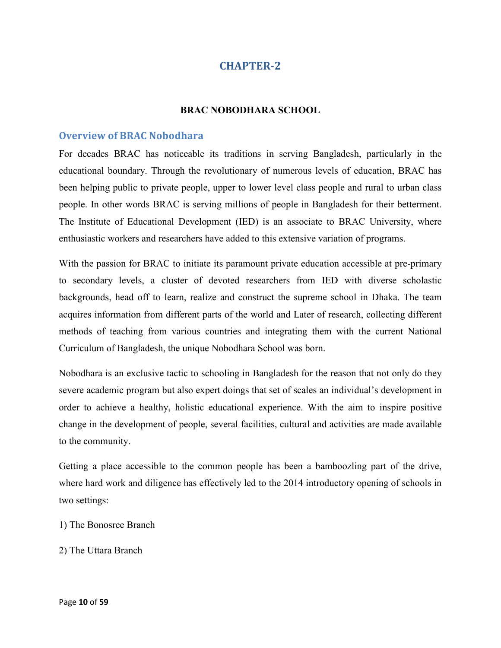#### **BRAC NOBODHARA SCHOOL**

## **Overview of BRAC Nobodhara**

For decades BRAC has noticeable its traditions in serving Bangladesh, particularly in the educational boundary. Through the revolutionary of numerous levels of education, BRAC has been helping public to private people, upper to lower level class people and rural to urban class people. In other words BRAC is serving millions of people in Bangladesh for their betterment. The Institute of Educational Development (IED) is an associate to BRAC University, where enthusiastic workers and researchers have added to this extensive variation of programs.

With the passion for BRAC to initiate its paramount private education accessible at pre-primary to secondary levels, a cluster of devoted researchers from IED with diverse scholastic backgrounds, head off to learn, realize and construct the supreme school in Dhaka. The team acquires information from different parts of the world and Later of research, collecting different methods of teaching from various countries and integrating them with the current National Curriculum of Bangladesh, the unique Nobodhara School was born.

Nobodhara is an exclusive tactic to schooling in Bangladesh for the reason that not only do they severe academic program but also expert doings that set of scales an individual's development in order to achieve a healthy, holistic educational experience. With the aim to inspire positive change in the development of people, several facilities, cultural and activities are made available to the community.

Getting a place accessible to the common people has been a bamboozling part of the drive, where hard work and diligence has effectively led to the 2014 introductory opening of schools in two settings:

- 1) The Bonosree Branch
- 2) The Uttara Branch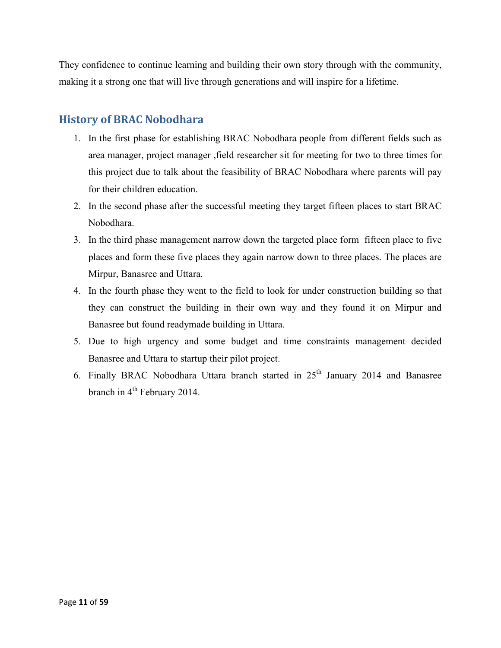They confidence to continue learning and building their own story through with the community, making it a strong one that will live through generations and will inspire for a lifetime.

# **History of BRAC Nobodhara**

- 1. In the first phase for establishing BRAC Nobodhara people from different fields such as area manager, project manager ,field researcher sit for meeting for two to three times for this project due to talk about the feasibility of BRAC Nobodhara where parents will pay for their children education.
- 2. In the second phase after the successful meeting they target fifteen places to start BRAC Nobodhara.
- 3. In the third phase management narrow down the targeted place form fifteen place to five places and form these five places they again narrow down to three places. The places are Mirpur, Banasree and Uttara.
- 4. In the fourth phase they went to the field to look for under construction building so that they can construct the building in their own way and they found it on Mirpur and Banasree but found readymade building in Uttara.
- 5. Due to high urgency and some budget and time constraints management decided Banasree and Uttara to startup their pilot project.
- 6. Finally BRAC Nobodhara Uttara branch started in  $25<sup>th</sup>$  January 2014 and Banasree branch in 4<sup>th</sup> February 2014.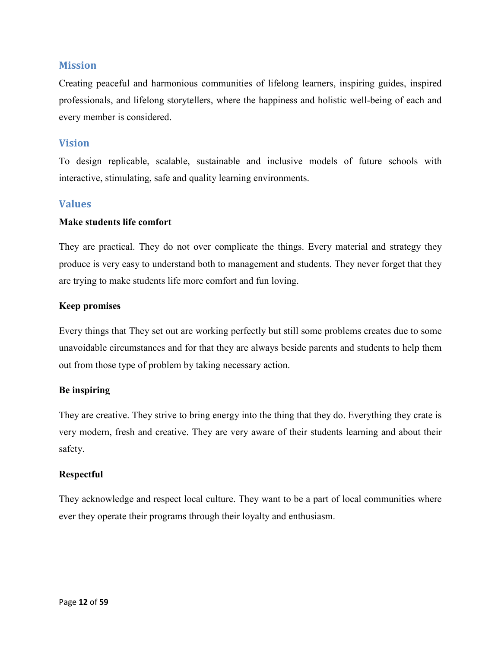## **Mission**

Creating peaceful and harmonious communities of lifelong learners, inspiring guides, inspired professionals, and lifelong storytellers, where the happiness and holistic well-being of each and every member is considered.

## **Vision**

To design replicable, scalable, sustainable and inclusive models of future schools with interactive, stimulating, safe and quality learning environments.

## **Values**

#### **Make students life comfort**

They are practical. They do not over complicate the things. Every material and strategy they produce is very easy to understand both to management and students. They never forget that they are trying to make students life more comfort and fun loving.

#### **Keep promises**

Every things that They set out are working perfectly but still some problems creates due to some unavoidable circumstances and for that they are always beside parents and students to help them out from those type of problem by taking necessary action.

#### **Be inspiring**

They are creative. They strive to bring energy into the thing that they do. Everything they crate is very modern, fresh and creative. They are very aware of their students learning and about their safety.

#### **Respectful**

They acknowledge and respect local culture. They want to be a part of local communities where ever they operate their programs through their loyalty and enthusiasm.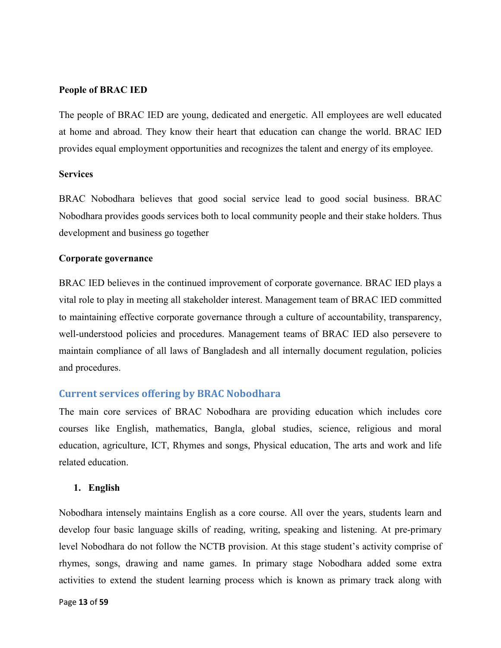#### **People of BRAC IED**

The people of BRAC IED are young, dedicated and energetic. All employees are well educated at home and abroad. They know their heart that education can change the world. BRAC IED provides equal employment opportunities and recognizes the talent and energy of its employee.

#### **Services**

BRAC Nobodhara believes that good social service lead to good social business. BRAC Nobodhara provides goods services both to local community people and their stake holders. Thus development and business go together

#### **Corporate governance**

BRAC IED believes in the continued improvement of corporate governance. BRAC IED plays a vital role to play in meeting all stakeholder interest. Management team of BRAC IED committed to maintaining effective corporate governance through a culture of accountability, transparency, well-understood policies and procedures. Management teams of BRAC IED also persevere to maintain compliance of all laws of Bangladesh and all internally document regulation, policies and procedures.

## **Current services offering by BRAC Nobodhara**

The main core services of BRAC Nobodhara are providing education which includes core courses like English, mathematics, Bangla, global studies, science, religious and moral education, agriculture, ICT, Rhymes and songs, Physical education, The arts and work and life related education.

#### **1. English**

Nobodhara intensely maintains English as a core course. All over the years, students learn and develop four basic language skills of reading, writing, speaking and listening. At pre-primary level Nobodhara do not follow the NCTB provision. At this stage student's activity comprise of rhymes, songs, drawing and name games. In primary stage Nobodhara added some extra activities to extend the student learning process which is known as primary track along with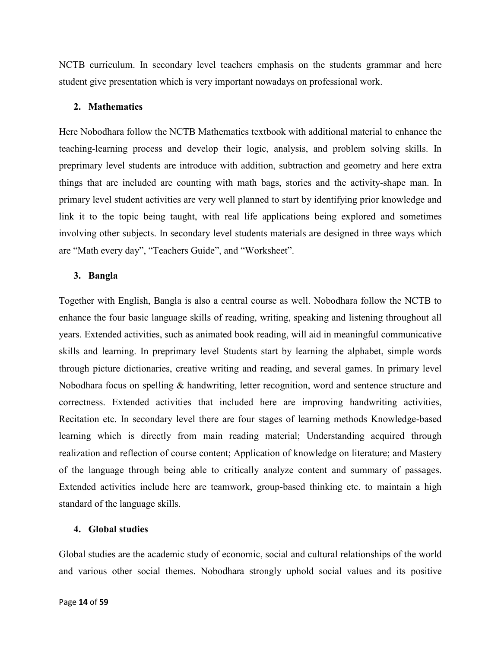NCTB curriculum. In secondary level teachers emphasis on the students grammar and here student give presentation which is very important nowadays on professional work.

#### **2. Mathematics**

Here Nobodhara follow the NCTB Mathematics textbook with additional material to enhance the teaching-learning process and develop their logic, analysis, and problem solving skills. In preprimary level students are introduce with addition, subtraction and geometry and here extra things that are included are counting with math bags, stories and the activity-shape man. In primary level student activities are very well planned to start by identifying prior knowledge and link it to the topic being taught, with real life applications being explored and sometimes involving other subjects. In secondary level students materials are designed in three ways which are "Math every day", "Teachers Guide", and "Worksheet".

#### **3. Bangla**

Together with English, Bangla is also a central course as well. Nobodhara follow the NCTB to enhance the four basic language skills of reading, writing, speaking and listening throughout all years. Extended activities, such as animated book reading, will aid in meaningful communicative skills and learning. In preprimary level Students start by learning the alphabet, simple words through picture dictionaries, creative writing and reading, and several games. In primary level Nobodhara focus on spelling & handwriting, letter recognition, word and sentence structure and correctness. Extended activities that included here are improving handwriting activities, Recitation etc. In secondary level there are four stages of learning methods Knowledge-based learning which is directly from main reading material; Understanding acquired through realization and reflection of course content; Application of knowledge on literature; and Mastery of the language through being able to critically analyze content and summary of passages. Extended activities include here are teamwork, group-based thinking etc. to maintain a high standard of the language skills.

#### **4. Global studies**

Global studies are the academic study of economic, social and cultural relationships of the world and various other social themes. Nobodhara strongly uphold social values and its positive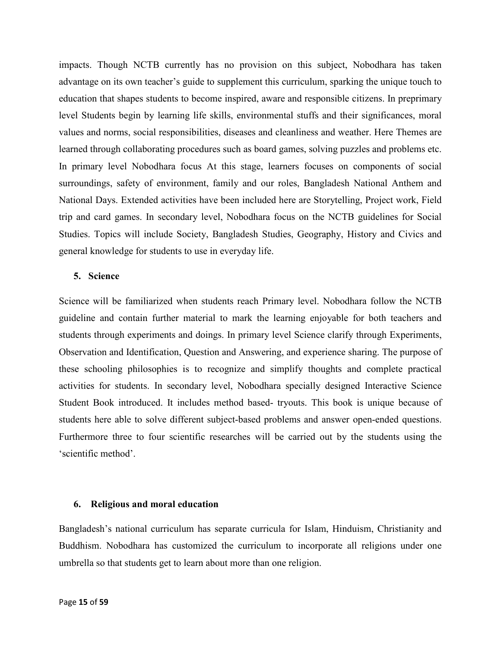impacts. Though NCTB currently has no provision on this subject, Nobodhara has taken advantage on its own teacher's guide to supplement this curriculum, sparking the unique touch to education that shapes students to become inspired, aware and responsible citizens. In preprimary level Students begin by learning life skills, environmental stuffs and their significances, moral values and norms, social responsibilities, diseases and cleanliness and weather. Here Themes are learned through collaborating procedures such as board games, solving puzzles and problems etc. In primary level Nobodhara focus At this stage, learners focuses on components of social surroundings, safety of environment, family and our roles, Bangladesh National Anthem and National Days. Extended activities have been included here are Storytelling, Project work, Field trip and card games. In secondary level, Nobodhara focus on the NCTB guidelines for Social Studies. Topics will include Society, Bangladesh Studies, Geography, History and Civics and general knowledge for students to use in everyday life.

#### **5. Science**

Science will be familiarized when students reach Primary level. Nobodhara follow the NCTB guideline and contain further material to mark the learning enjoyable for both teachers and students through experiments and doings. In primary level Science clarify through Experiments, Observation and Identification, Question and Answering, and experience sharing. The purpose of these schooling philosophies is to recognize and simplify thoughts and complete practical activities for students. In secondary level, Nobodhara specially designed Interactive Science Student Book introduced. It includes method based- tryouts. This book is unique because of students here able to solve different subject-based problems and answer open-ended questions. Furthermore three to four scientific researches will be carried out by the students using the 'scientific method'.

#### **6. Religious and moral education**

Bangladesh's national curriculum has separate curricula for Islam, Hinduism, Christianity and Buddhism. Nobodhara has customized the curriculum to incorporate all religions under one umbrella so that students get to learn about more than one religion.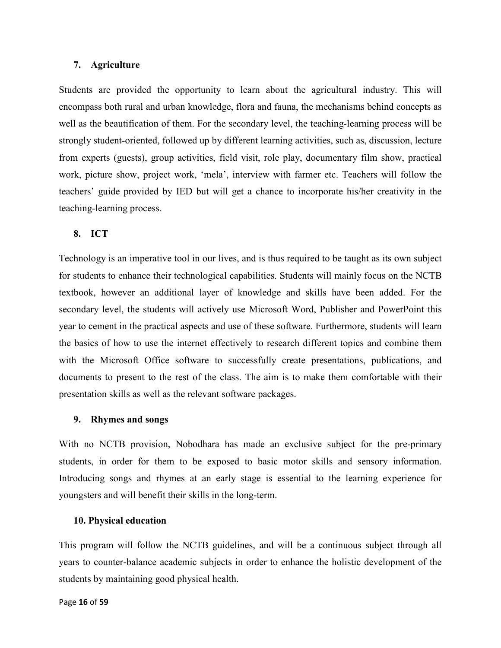#### **7. Agriculture**

Students are provided the opportunity to learn about the agricultural industry. This will encompass both rural and urban knowledge, flora and fauna, the mechanisms behind concepts as well as the beautification of them. For the secondary level, the teaching-learning process will be strongly student-oriented, followed up by different learning activities, such as, discussion, lecture from experts (guests), group activities, field visit, role play, documentary film show, practical work, picture show, project work, 'mela', interview with farmer etc. Teachers will follow the teachers' guide provided by IED but will get a chance to incorporate his/her creativity in the teaching-learning process.

#### **8. ICT**

Technology is an imperative tool in our lives, and is thus required to be taught as its own subject for students to enhance their technological capabilities. Students will mainly focus on the NCTB textbook, however an additional layer of knowledge and skills have been added. For the secondary level, the students will actively use Microsoft Word, Publisher and PowerPoint this year to cement in the practical aspects and use of these software. Furthermore, students will learn the basics of how to use the internet effectively to research different topics and combine them with the Microsoft Office software to successfully create presentations, publications, and documents to present to the rest of the class. The aim is to make them comfortable with their presentation skills as well as the relevant software packages.

#### **9. Rhymes and songs**

With no NCTB provision, Nobodhara has made an exclusive subject for the pre-primary students, in order for them to be exposed to basic motor skills and sensory information. Introducing songs and rhymes at an early stage is essential to the learning experience for youngsters and will benefit their skills in the long-term.

#### **10. Physical education**

This program will follow the NCTB guidelines, and will be a continuous subject through all years to counter-balance academic subjects in order to enhance the holistic development of the students by maintaining good physical health.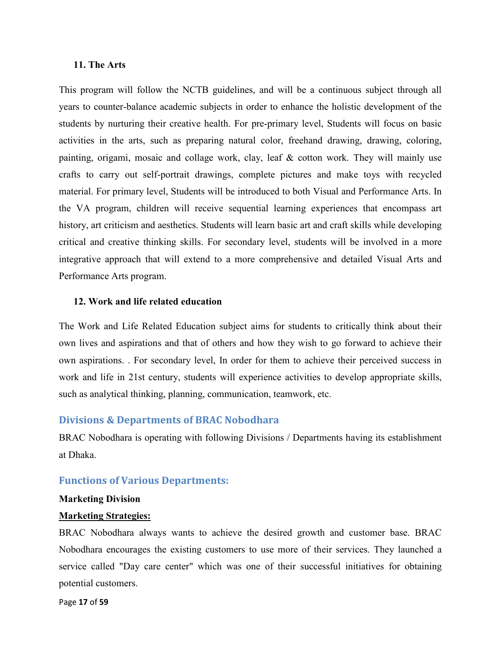#### **11. The Arts**

This program will follow the NCTB guidelines, and will be a continuous subject through all years to counter-balance academic subjects in order to enhance the holistic development of the students by nurturing their creative health. For pre-primary level, Students will focus on basic activities in the arts, such as preparing natural color, freehand drawing, drawing, coloring, painting, origami, mosaic and collage work, clay, leaf & cotton work. They will mainly use crafts to carry out self-portrait drawings, complete pictures and make toys with recycled material. For primary level, Students will be introduced to both Visual and Performance Arts. In the VA program, children will receive sequential learning experiences that encompass art history, art criticism and aesthetics. Students will learn basic art and craft skills while developing critical and creative thinking skills. For secondary level, students will be involved in a more integrative approach that will extend to a more comprehensive and detailed Visual Arts and Performance Arts program.

#### **12. Work and life related education**

The Work and Life Related Education subject aims for students to critically think about their own lives and aspirations and that of others and how they wish to go forward to achieve their own aspirations. . For secondary level, In order for them to achieve their perceived success in work and life in 21st century, students will experience activities to develop appropriate skills, such as analytical thinking, planning, communication, teamwork, etc.

#### **Divisions & Departments of BRAC Nobodhara**

BRAC Nobodhara is operating with following Divisions / Departments having its establishment at Dhaka.

#### **Functions of Various Departments:**

#### **Marketing Division**

#### **Marketing Strategies:**

BRAC Nobodhara always wants to achieve the desired growth and customer base. BRAC Nobodhara encourages the existing customers to use more of their services. They launched a service called "Day care center" which was one of their successful initiatives for obtaining potential customers.

Page **17** of **59**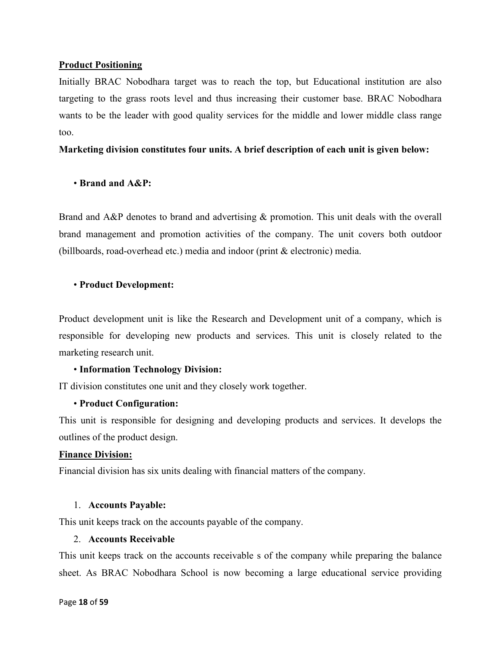## **Product Positioning**

Initially BRAC Nobodhara target was to reach the top, but Educational institution are also targeting to the grass roots level and thus increasing their customer base. BRAC Nobodhara wants to be the leader with good quality services for the middle and lower middle class range too.

**Marketing division constitutes four units. A brief description of each unit is given below:** 

## • **Brand and A&P:**

Brand and A&P denotes to brand and advertising & promotion. This unit deals with the overall brand management and promotion activities of the company. The unit covers both outdoor (billboards, road-overhead etc.) media and indoor (print & electronic) media.

#### • **Product Development:**

Product development unit is like the Research and Development unit of a company, which is responsible for developing new products and services. This unit is closely related to the marketing research unit.

#### • **Information Technology Division:**

IT division constitutes one unit and they closely work together.

#### • **Product Configuration:**

This unit is responsible for designing and developing products and services. It develops the outlines of the product design.

#### **Finance Division:**

Financial division has six units dealing with financial matters of the company.

#### 1. **Accounts Payable:**

This unit keeps track on the accounts payable of the company.

#### 2. **Accounts Receivable**

This unit keeps track on the accounts receivable s of the company while preparing the balance sheet. As BRAC Nobodhara School is now becoming a large educational service providing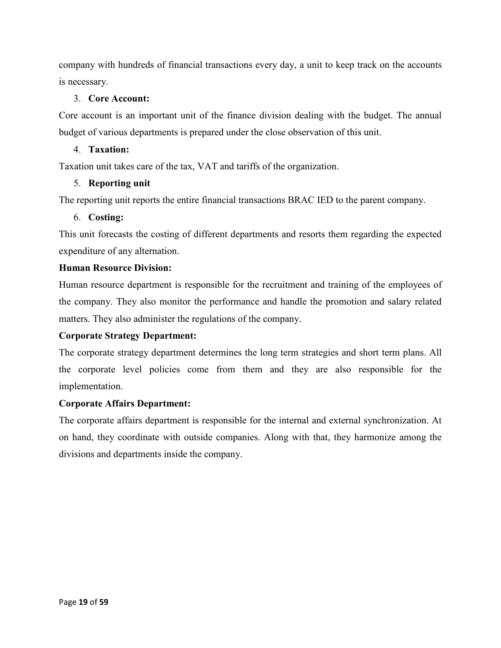company with hundreds of financial transactions every day, a unit to keep track on the accounts is necessary.

## 3. **Core Account:**

Core account is an important unit of the finance division dealing with the budget. The annual budget of various departments is prepared under the close observation of this unit.

## 4. **Taxation:**

Taxation unit takes care of the tax, VAT and tariffs of the organization.

## 5. **Reporting unit**

The reporting unit reports the entire financial transactions BRAC IED to the parent company.

## 6. **Costing:**

This unit forecasts the costing of different departments and resorts them regarding the expected expenditure of any alternation.

## **Human Resource Division:**

Human resource department is responsible for the recruitment and training of the employees of the company. They also monitor the performance and handle the promotion and salary related matters. They also administer the regulations of the company.

## **Corporate Strategy Department:**

The corporate strategy department determines the long term strategies and short term plans. All the corporate level policies come from them and they are also responsible for the implementation.

## **Corporate Affairs Department:**

The corporate affairs department is responsible for the internal and external synchronization. At on hand, they coordinate with outside companies. Along with that, they harmonize among the divisions and departments inside the company.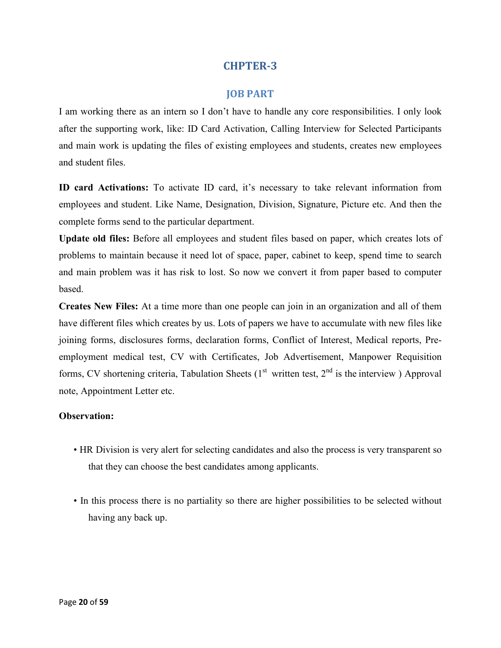## **JOB PART**

I am working there as an intern so I don't have to handle any core responsibilities. I only look after the supporting work, like: ID Card Activation, Calling Interview for Selected Participants and main work is updating the files of existing employees and students, creates new employees and student files.

**ID card Activations:** To activate ID card, it's necessary to take relevant information from employees and student. Like Name, Designation, Division, Signature, Picture etc. And then the complete forms send to the particular department.

**Update old files:** Before all employees and student files based on paper, which creates lots of problems to maintain because it need lot of space, paper, cabinet to keep, spend time to search and main problem was it has risk to lost. So now we convert it from paper based to computer based.

**Creates New Files:** At a time more than one people can join in an organization and all of them have different files which creates by us. Lots of papers we have to accumulate with new files like joining forms, disclosures forms, declaration forms, Conflict of Interest, Medical reports, Preemployment medical test, CV with Certificates, Job Advertisement, Manpower Requisition forms, CV shortening criteria, Tabulation Sheets  $(1<sup>st</sup>$  written test,  $2<sup>nd</sup>$  is the interview ) Approval note, Appointment Letter etc.

#### **Observation:**

- HR Division is very alert for selecting candidates and also the process is very transparent so that they can choose the best candidates among applicants.
- In this process there is no partiality so there are higher possibilities to be selected without having any back up.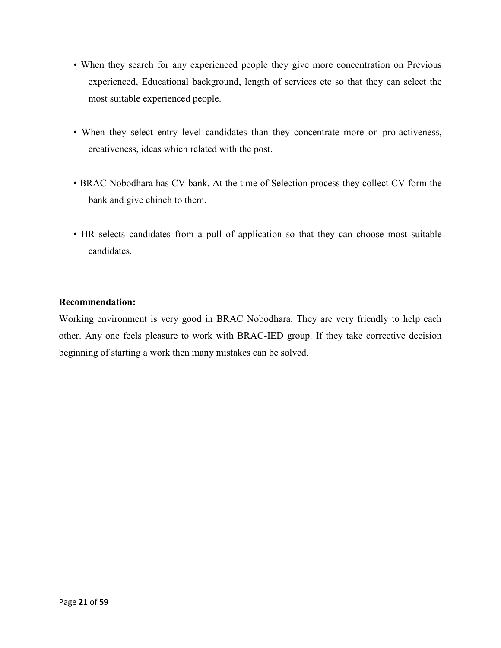- When they search for any experienced people they give more concentration on Previous experienced, Educational background, length of services etc so that they can select the most suitable experienced people.
- When they select entry level candidates than they concentrate more on pro-activeness, creativeness, ideas which related with the post.
- BRAC Nobodhara has CV bank. At the time of Selection process they collect CV form the bank and give chinch to them.
- HR selects candidates from a pull of application so that they can choose most suitable candidates.

## **Recommendation:**

Working environment is very good in BRAC Nobodhara. They are very friendly to help each other. Any one feels pleasure to work with BRAC-IED group. If they take corrective decision beginning of starting a work then many mistakes can be solved.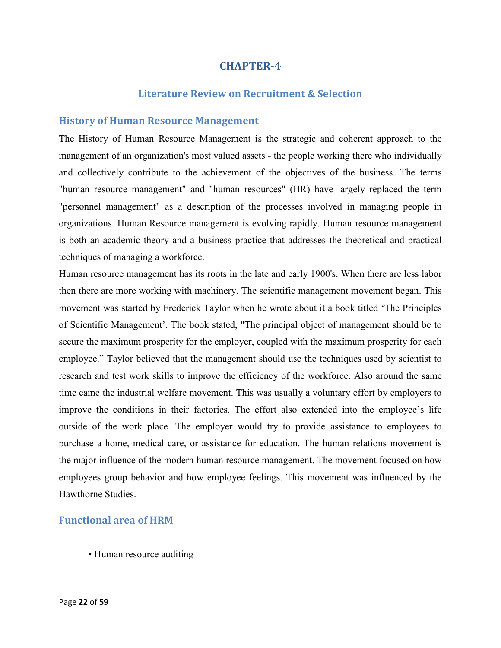## **Literature Review on Recruitment & Selection**

#### **History of Human Resource Management**

The History of Human Resource Management is the strategic and coherent approach to the management of an organization's most valued assets - the people working there who individually and collectively contribute to the achievement of the objectives of the business. The terms "human resource management" and "human resources" (HR) have largely replaced the term "personnel management" as a description of the processes involved in managing people in organizations. Human Resource management is evolving rapidly. Human resource management is both an academic theory and a business practice that addresses the theoretical and practical techniques of managing a workforce.

Human resource management has its roots in the late and early 1900's. When there are less labor then there are more working with machinery. The scientific management movement began. This movement was started by Frederick Taylor when he wrote about it a book titled 'The Principles of Scientific Management'. The book stated, "The principal object of management should be to secure the maximum prosperity for the employer, coupled with the maximum prosperity for each employee." Taylor believed that the management should use the techniques used by scientist to research and test work skills to improve the efficiency of the workforce. Also around the same time came the industrial welfare movement. This was usually a voluntary effort by employers to improve the conditions in their factories. The effort also extended into the employee's life outside of the work place. The employer would try to provide assistance to employees to purchase a home, medical care, or assistance for education. The human relations movement is the major influence of the modern human resource management. The movement focused on how employees group behavior and how employee feelings. This movement was influenced by the Hawthorne Studies.

## **Functional area of HRM**

• Human resource auditing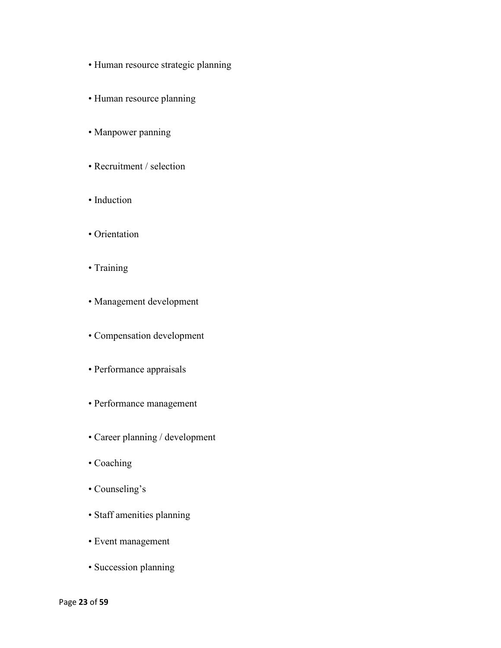- Human resource strategic planning
- Human resource planning
- Manpower panning
- Recruitment / selection
- Induction
- Orientation
- Training
- Management development
- Compensation development
- Performance appraisals
- Performance management
- Career planning / development
- Coaching
- Counseling's
- Staff amenities planning
- Event management
- Succession planning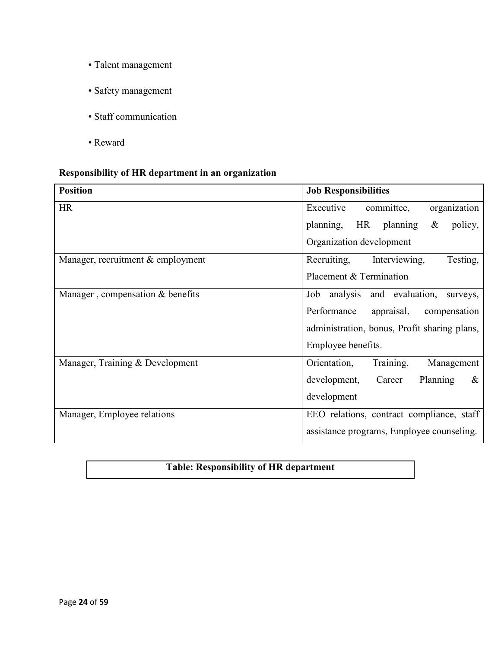- Talent management
- Safety management
- Staff communication
- Reward

# **Responsibility of HR department in an organization**

| <b>Position</b>                   | <b>Job Responsibilities</b>                    |
|-----------------------------------|------------------------------------------------|
| <b>HR</b>                         | Executive<br>committee,<br>organization        |
|                                   | planning,<br>HR planning<br>$\&$<br>policy,    |
|                                   | Organization development                       |
| Manager, recruitment & employment | Recruiting,<br>Testing,<br>Interviewing,       |
|                                   | Placement & Termination                        |
| Manager, compensation & benefits  | and evaluation,<br>analysis<br>Job<br>surveys, |
|                                   | Performance<br>appraisal,<br>compensation      |
|                                   | administration, bonus, Profit sharing plans,   |
|                                   | Employee benefits.                             |
| Manager, Training & Development   | Orientation,<br>Training,<br>Management        |
|                                   | development,<br>Career<br>Planning<br>&        |
|                                   | development                                    |
| Manager, Employee relations       | EEO relations, contract compliance, staff      |
|                                   | assistance programs, Employee counseling.      |

# **Table: Responsibility of HR department**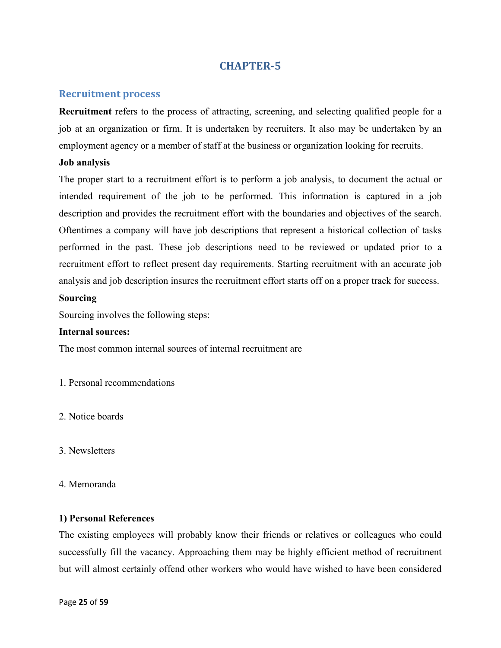## **Recruitment process**

**Recruitment** refers to the process of attracting, screening, and selecting qualified people for a job at an organization or firm. It is undertaken by recruiters. It also may be undertaken by an employment agency or a member of staff at the business or organization looking for recruits.

#### **Job analysis**

The proper start to a recruitment effort is to perform a job analysis, to document the actual or intended requirement of the job to be performed. This information is captured in a job description and provides the recruitment effort with the boundaries and objectives of the search. Oftentimes a company will have job descriptions that represent a historical collection of tasks performed in the past. These job descriptions need to be reviewed or updated prior to a recruitment effort to reflect present day requirements. Starting recruitment with an accurate job analysis and job description insures the recruitment effort starts off on a proper track for success.

#### **Sourcing**

Sourcing involves the following steps:

#### **Internal sources:**

The most common internal sources of internal recruitment are

- 1. Personal recommendations
- 2. Notice boards
- 3. Newsletters
- 4. Memoranda

#### **1) Personal References**

The existing employees will probably know their friends or relatives or colleagues who could successfully fill the vacancy. Approaching them may be highly efficient method of recruitment but will almost certainly offend other workers who would have wished to have been considered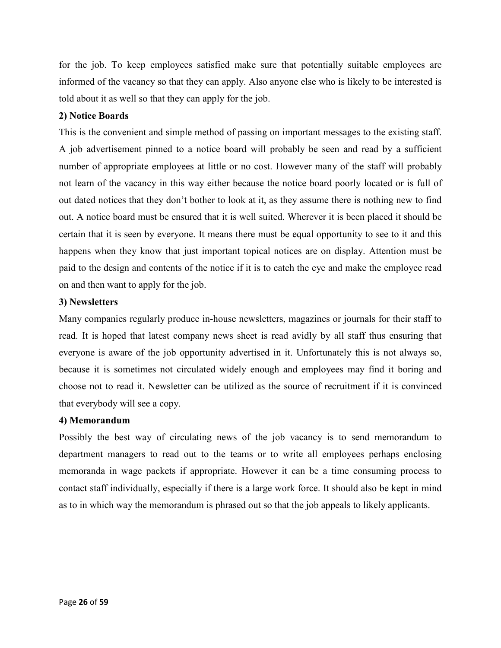for the job. To keep employees satisfied make sure that potentially suitable employees are informed of the vacancy so that they can apply. Also anyone else who is likely to be interested is told about it as well so that they can apply for the job.

## **2) Notice Boards**

This is the convenient and simple method of passing on important messages to the existing staff. A job advertisement pinned to a notice board will probably be seen and read by a sufficient number of appropriate employees at little or no cost. However many of the staff will probably not learn of the vacancy in this way either because the notice board poorly located or is full of out dated notices that they don't bother to look at it, as they assume there is nothing new to find out. A notice board must be ensured that it is well suited. Wherever it is been placed it should be certain that it is seen by everyone. It means there must be equal opportunity to see to it and this happens when they know that just important topical notices are on display. Attention must be paid to the design and contents of the notice if it is to catch the eye and make the employee read on and then want to apply for the job.

## **3) Newsletters**

Many companies regularly produce in-house newsletters, magazines or journals for their staff to read. It is hoped that latest company news sheet is read avidly by all staff thus ensuring that everyone is aware of the job opportunity advertised in it. Unfortunately this is not always so, because it is sometimes not circulated widely enough and employees may find it boring and choose not to read it. Newsletter can be utilized as the source of recruitment if it is convinced that everybody will see a copy.

#### **4) Memorandum**

Possibly the best way of circulating news of the job vacancy is to send memorandum to department managers to read out to the teams or to write all employees perhaps enclosing memoranda in wage packets if appropriate. However it can be a time consuming process to contact staff individually, especially if there is a large work force. It should also be kept in mind as to in which way the memorandum is phrased out so that the job appeals to likely applicants.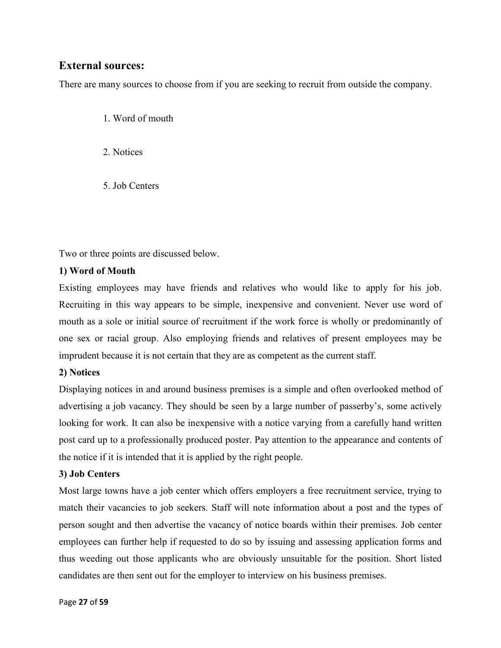# **External sources:**

There are many sources to choose from if you are seeking to recruit from outside the company.

- 1. Word of mouth
- 2. Notices
- 5. Job Centers

Two or three points are discussed below.

## **1) Word of Mouth**

Existing employees may have friends and relatives who would like to apply for his job. Recruiting in this way appears to be simple, inexpensive and convenient. Never use word of mouth as a sole or initial source of recruitment if the work force is wholly or predominantly of one sex or racial group. Also employing friends and relatives of present employees may be imprudent because it is not certain that they are as competent as the current staff.

## **2) Notices**

Displaying notices in and around business premises is a simple and often overlooked method of advertising a job vacancy. They should be seen by a large number of passerby's, some actively looking for work. It can also be inexpensive with a notice varying from a carefully hand written post card up to a professionally produced poster. Pay attention to the appearance and contents of the notice if it is intended that it is applied by the right people.

## **3) Job Centers**

Most large towns have a job center which offers employers a free recruitment service, trying to match their vacancies to job seekers. Staff will note information about a post and the types of person sought and then advertise the vacancy of notice boards within their premises. Job center employees can further help if requested to do so by issuing and assessing application forms and thus weeding out those applicants who are obviously unsuitable for the position. Short listed candidates are then sent out for the employer to interview on his business premises.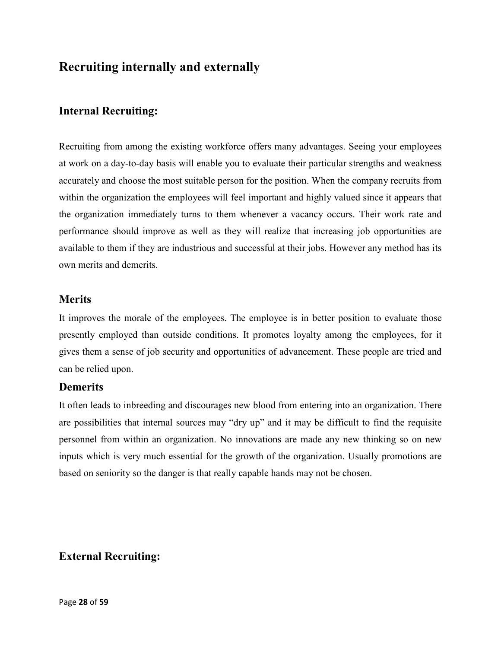# **Recruiting internally and externally**

# **Internal Recruiting:**

Recruiting from among the existing workforce offers many advantages. Seeing your employees at work on a day-to-day basis will enable you to evaluate their particular strengths and weakness accurately and choose the most suitable person for the position. When the company recruits from within the organization the employees will feel important and highly valued since it appears that the organization immediately turns to them whenever a vacancy occurs. Their work rate and performance should improve as well as they will realize that increasing job opportunities are available to them if they are industrious and successful at their jobs. However any method has its own merits and demerits.

## **Merits**

It improves the morale of the employees. The employee is in better position to evaluate those presently employed than outside conditions. It promotes loyalty among the employees, for it gives them a sense of job security and opportunities of advancement. These people are tried and can be relied upon.

# **Demerits**

It often leads to inbreeding and discourages new blood from entering into an organization. There are possibilities that internal sources may "dry up" and it may be difficult to find the requisite personnel from within an organization. No innovations are made any new thinking so on new inputs which is very much essential for the growth of the organization. Usually promotions are based on seniority so the danger is that really capable hands may not be chosen.

# **External Recruiting:**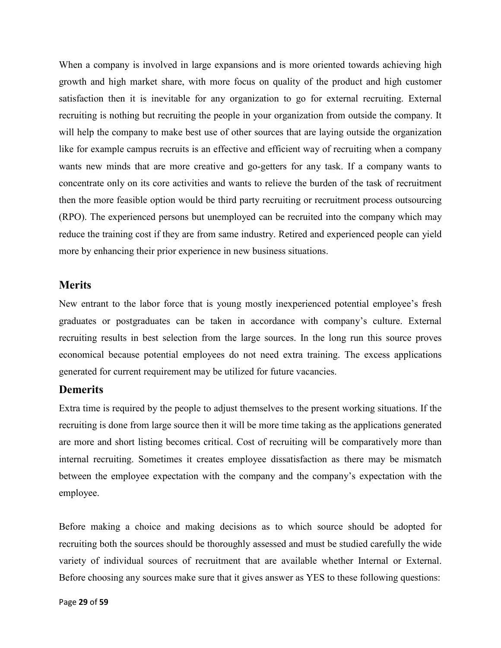When a company is involved in large expansions and is more oriented towards achieving high growth and high market share, with more focus on quality of the product and high customer satisfaction then it is inevitable for any organization to go for external recruiting. External recruiting is nothing but recruiting the people in your organization from outside the company. It will help the company to make best use of other sources that are laying outside the organization like for example campus recruits is an effective and efficient way of recruiting when a company wants new minds that are more creative and go-getters for any task. If a company wants to concentrate only on its core activities and wants to relieve the burden of the task of recruitment then the more feasible option would be third party recruiting or recruitment process outsourcing (RPO). The experienced persons but unemployed can be recruited into the company which may reduce the training cost if they are from same industry. Retired and experienced people can yield more by enhancing their prior experience in new business situations.

## **Merits**

New entrant to the labor force that is young mostly inexperienced potential employee's fresh graduates or postgraduates can be taken in accordance with company's culture. External recruiting results in best selection from the large sources. In the long run this source proves economical because potential employees do not need extra training. The excess applications generated for current requirement may be utilized for future vacancies.

## **Demerits**

Extra time is required by the people to adjust themselves to the present working situations. If the recruiting is done from large source then it will be more time taking as the applications generated are more and short listing becomes critical. Cost of recruiting will be comparatively more than internal recruiting. Sometimes it creates employee dissatisfaction as there may be mismatch between the employee expectation with the company and the company's expectation with the employee.

Before making a choice and making decisions as to which source should be adopted for recruiting both the sources should be thoroughly assessed and must be studied carefully the wide variety of individual sources of recruitment that are available whether Internal or External. Before choosing any sources make sure that it gives answer as YES to these following questions: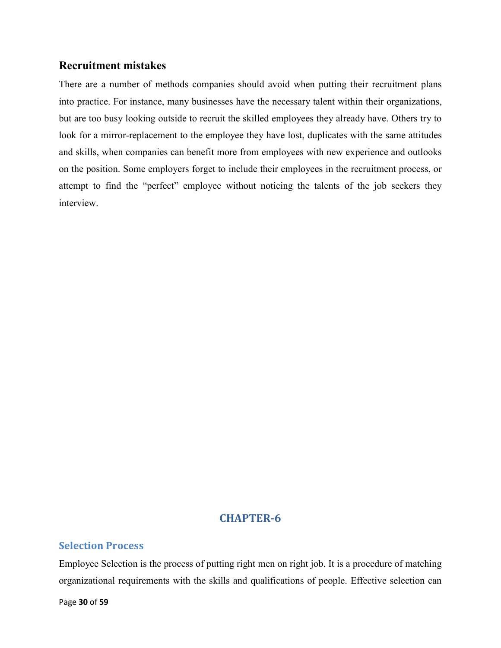## **Recruitment mistakes**

There are a number of methods companies should avoid when putting their recruitment plans into practice. For instance, many businesses have the necessary talent within their organizations, but are too busy looking outside to recruit the skilled employees they already have. Others try to look for a mirror-replacement to the employee they have lost, duplicates with the same attitudes and skills, when companies can benefit more from employees with new experience and outlooks on the position. Some employers forget to include their employees in the recruitment process, or attempt to find the "perfect" employee without noticing the talents of the job seekers they interview.

# **CHAPTER-6**

## **Selection Process**

Employee Selection is the process of putting right men on right job. It is a procedure of matching organizational requirements with the skills and qualifications of people. Effective selection can

Page **30** of **59**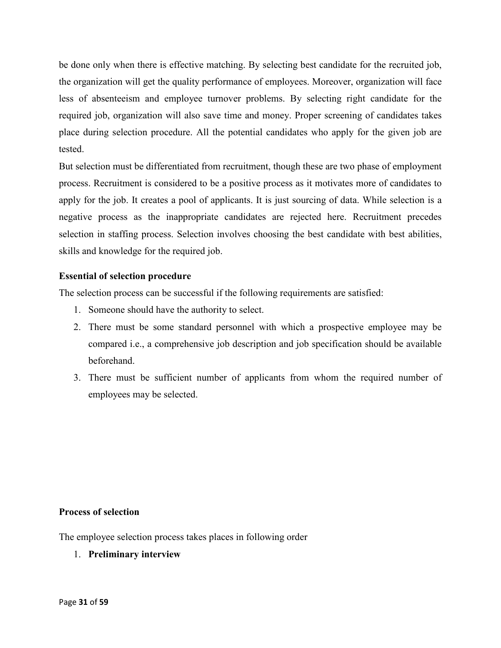be done only when there is effective matching. By selecting best candidate for the recruited job, the organization will get the quality performance of employees. Moreover, organization will face less of absenteeism and employee turnover problems. By selecting right candidate for the required job, organization will also save time and money. Proper screening of candidates takes place during selection procedure. All the potential candidates who apply for the given job are tested.

But selection must be differentiated from recruitment, though these are two phase of employment process. Recruitment is considered to be a positive process as it motivates more of candidates to apply for the job. It creates a pool of applicants. It is just sourcing of data. While selection is a negative process as the inappropriate candidates are rejected here. Recruitment precedes selection in staffing process. Selection involves choosing the best candidate with best abilities, skills and knowledge for the required job.

## **Essential of selection procedure**

The selection process can be successful if the following requirements are satisfied:

- 1. Someone should have the authority to select.
- 2. There must be some standard personnel with which a prospective employee may be compared i.e., a comprehensive job description and job specification should be available beforehand.
- 3. There must be sufficient number of applicants from whom the required number of employees may be selected.

#### **Process of selection**

The employee selection process takes places in following order

1. **Preliminary interview**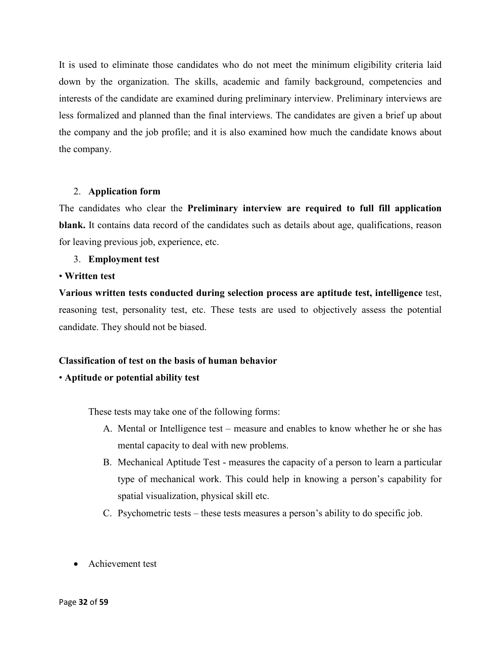It is used to eliminate those candidates who do not meet the minimum eligibility criteria laid down by the organization. The skills, academic and family background, competencies and interests of the candidate are examined during preliminary interview. Preliminary interviews are less formalized and planned than the final interviews. The candidates are given a brief up about the company and the job profile; and it is also examined how much the candidate knows about the company.

#### 2. **Application form**

The candidates who clear the **Preliminary interview are required to full fill application blank.** It contains data record of the candidates such as details about age, qualifications, reason for leaving previous job, experience, etc.

#### 3. **Employment test**

#### • **Written test**

**Various written tests conducted during selection process are aptitude test, intelligence** test, reasoning test, personality test, etc. These tests are used to objectively assess the potential candidate. They should not be biased.

## **Classification of test on the basis of human behavior**

#### • **Aptitude or potential ability test**

These tests may take one of the following forms:

- A. Mental or Intelligence test measure and enables to know whether he or she has mental capacity to deal with new problems.
- B. Mechanical Aptitude Test measures the capacity of a person to learn a particular type of mechanical work. This could help in knowing a person's capability for spatial visualization, physical skill etc.
- C. Psychometric tests these tests measures a person's ability to do specific job.
- Achievement test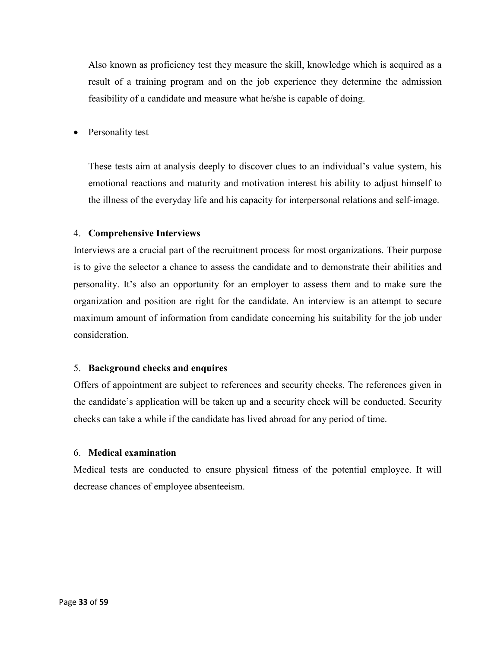Also known as proficiency test they measure the skill, knowledge which is acquired as a result of a training program and on the job experience they determine the admission feasibility of a candidate and measure what he/she is capable of doing.

• Personality test

These tests aim at analysis deeply to discover clues to an individual's value system, his emotional reactions and maturity and motivation interest his ability to adjust himself to the illness of the everyday life and his capacity for interpersonal relations and self-image.

#### 4. **Comprehensive Interviews**

Interviews are a crucial part of the recruitment process for most organizations. Their purpose is to give the selector a chance to assess the candidate and to demonstrate their abilities and personality. It's also an opportunity for an employer to assess them and to make sure the organization and position are right for the candidate. An interview is an attempt to secure maximum amount of information from candidate concerning his suitability for the job under consideration.

#### 5. **Background checks and enquires**

Offers of appointment are subject to references and security checks. The references given in the candidate's application will be taken up and a security check will be conducted. Security checks can take a while if the candidate has lived abroad for any period of time.

#### 6. **Medical examination**

Medical tests are conducted to ensure physical fitness of the potential employee. It will decrease chances of employee absenteeism.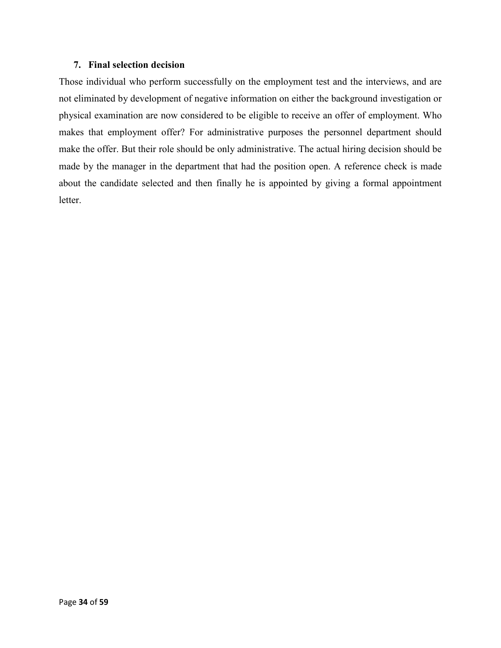#### **7. Final selection decision**

Those individual who perform successfully on the employment test and the interviews, and are not eliminated by development of negative information on either the background investigation or physical examination are now considered to be eligible to receive an offer of employment. Who makes that employment offer? For administrative purposes the personnel department should make the offer. But their role should be only administrative. The actual hiring decision should be made by the manager in the department that had the position open. A reference check is made about the candidate selected and then finally he is appointed by giving a formal appointment letter.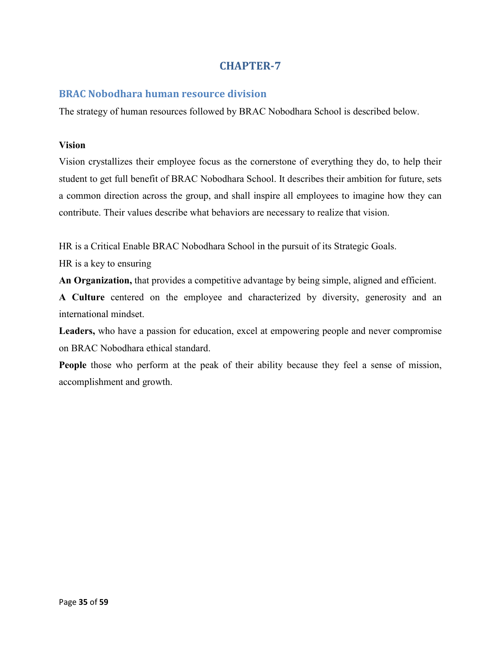## **BRAC Nobodhara human resource division**

The strategy of human resources followed by BRAC Nobodhara School is described below.

#### **Vision**

Vision crystallizes their employee focus as the cornerstone of everything they do, to help their student to get full benefit of BRAC Nobodhara School. It describes their ambition for future, sets a common direction across the group, and shall inspire all employees to imagine how they can contribute. Their values describe what behaviors are necessary to realize that vision.

HR is a Critical Enable BRAC Nobodhara School in the pursuit of its Strategic Goals.

HR is a key to ensuring

**An Organization,** that provides a competitive advantage by being simple, aligned and efficient.

**A Culture** centered on the employee and characterized by diversity, generosity and an international mindset.

**Leaders,** who have a passion for education, excel at empowering people and never compromise on BRAC Nobodhara ethical standard.

**People** those who perform at the peak of their ability because they feel a sense of mission, accomplishment and growth.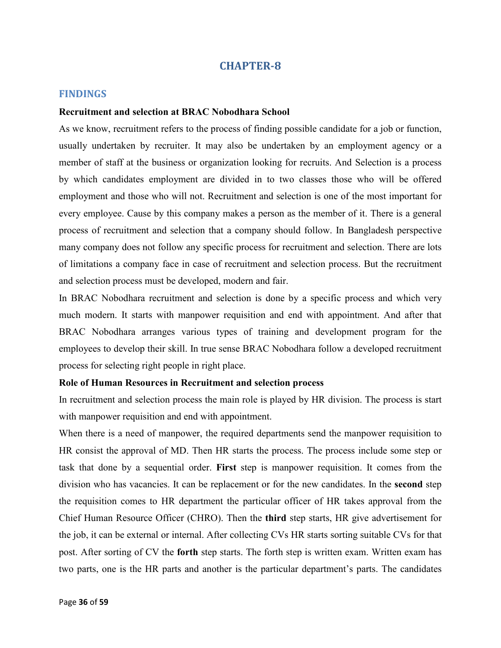#### **FINDINGS**

#### **Recruitment and selection at BRAC Nobodhara School**

As we know, recruitment refers to the process of finding possible candidate for a job or function, usually undertaken by recruiter. It may also be undertaken by an employment agency or a member of staff at the business or organization looking for recruits. And Selection is a process by which candidates employment are divided in to two classes those who will be offered employment and those who will not. Recruitment and selection is one of the most important for every employee. Cause by this company makes a person as the member of it. There is a general process of recruitment and selection that a company should follow. In Bangladesh perspective many company does not follow any specific process for recruitment and selection. There are lots of limitations a company face in case of recruitment and selection process. But the recruitment and selection process must be developed, modern and fair.

In BRAC Nobodhara recruitment and selection is done by a specific process and which very much modern. It starts with manpower requisition and end with appointment. And after that BRAC Nobodhara arranges various types of training and development program for the employees to develop their skill. In true sense BRAC Nobodhara follow a developed recruitment process for selecting right people in right place.

#### **Role of Human Resources in Recruitment and selection process**

In recruitment and selection process the main role is played by HR division. The process is start with manpower requisition and end with appointment.

When there is a need of manpower, the required departments send the manpower requisition to HR consist the approval of MD. Then HR starts the process. The process include some step or task that done by a sequential order. **First** step is manpower requisition. It comes from the division who has vacancies. It can be replacement or for the new candidates. In the **second** step the requisition comes to HR department the particular officer of HR takes approval from the Chief Human Resource Officer (CHRO). Then the **third** step starts, HR give advertisement for the job, it can be external or internal. After collecting CVs HR starts sorting suitable CVs for that post. After sorting of CV the **forth** step starts. The forth step is written exam. Written exam has two parts, one is the HR parts and another is the particular department's parts. The candidates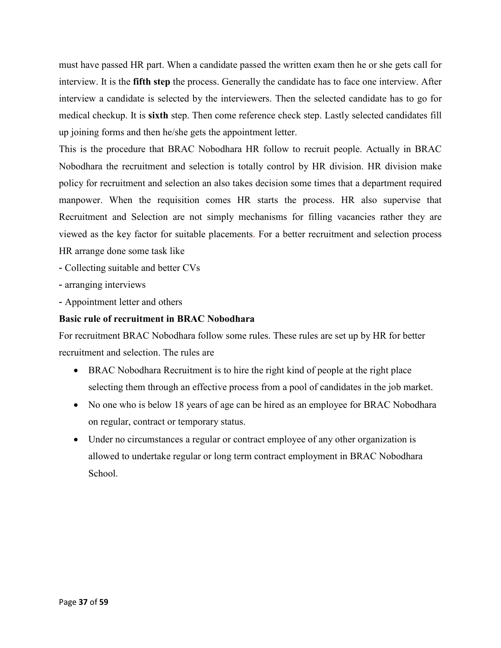must have passed HR part. When a candidate passed the written exam then he or she gets call for interview. It is the **fifth step** the process. Generally the candidate has to face one interview. After interview a candidate is selected by the interviewers. Then the selected candidate has to go for medical checkup. It is **sixth** step. Then come reference check step. Lastly selected candidates fill up joining forms and then he/she gets the appointment letter.

This is the procedure that BRAC Nobodhara HR follow to recruit people. Actually in BRAC Nobodhara the recruitment and selection is totally control by HR division. HR division make policy for recruitment and selection an also takes decision some times that a department required manpower. When the requisition comes HR starts the process. HR also supervise that Recruitment and Selection are not simply mechanisms for filling vacancies rather they are viewed as the key factor for suitable placements. For a better recruitment and selection process HR arrange done some task like

- Collecting suitable and better CVs
- arranging interviews
- Appointment letter and others

## **Basic rule of recruitment in BRAC Nobodhara**

For recruitment BRAC Nobodhara follow some rules. These rules are set up by HR for better recruitment and selection. The rules are

- BRAC Nobodhara Recruitment is to hire the right kind of people at the right place selecting them through an effective process from a pool of candidates in the job market.
- No one who is below 18 years of age can be hired as an employee for BRAC Nobodhara on regular, contract or temporary status.
- Under no circumstances a regular or contract employee of any other organization is allowed to undertake regular or long term contract employment in BRAC Nobodhara School.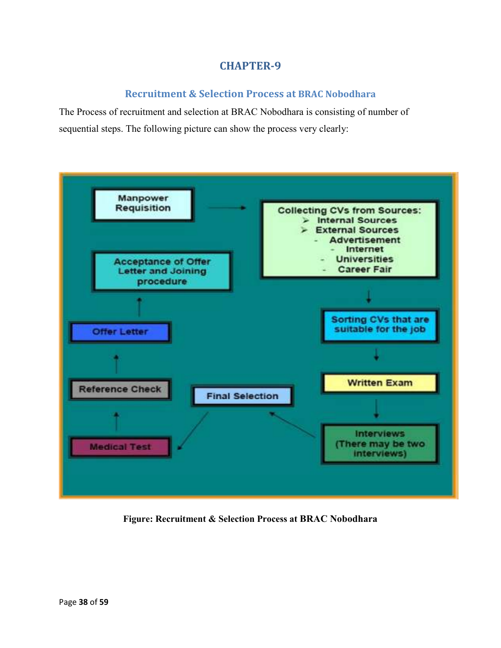## **Recruitment & Selection Process at BRAC Nobodhara**

The Process of recruitment and selection at BRAC Nobodhara is consisting of number of sequential steps. The following picture can show the process very clearly:



**Figure: Recruitment & Selection Process at BRAC Nobodhara**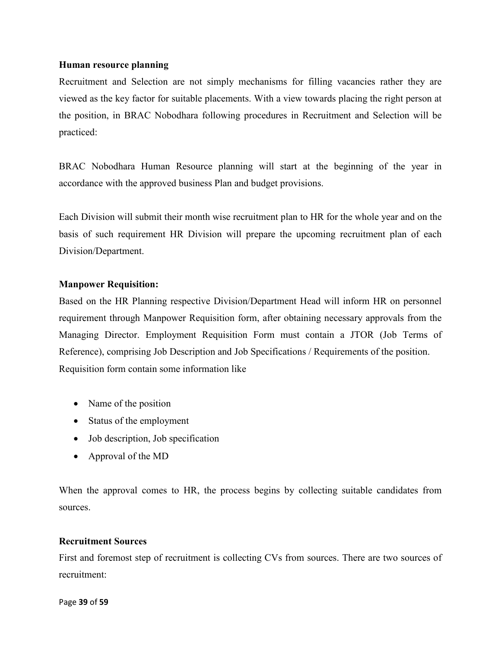#### **Human resource planning**

Recruitment and Selection are not simply mechanisms for filling vacancies rather they are viewed as the key factor for suitable placements. With a view towards placing the right person at the position, in BRAC Nobodhara following procedures in Recruitment and Selection will be practiced:

BRAC Nobodhara Human Resource planning will start at the beginning of the year in accordance with the approved business Plan and budget provisions.

Each Division will submit their month wise recruitment plan to HR for the whole year and on the basis of such requirement HR Division will prepare the upcoming recruitment plan of each Division/Department.

## **Manpower Requisition:**

Based on the HR Planning respective Division/Department Head will inform HR on personnel requirement through Manpower Requisition form, after obtaining necessary approvals from the Managing Director. Employment Requisition Form must contain a JTOR (Job Terms of Reference), comprising Job Description and Job Specifications / Requirements of the position. Requisition form contain some information like

- Name of the position
- Status of the employment
- Job description, Job specification
- Approval of the MD

When the approval comes to HR, the process begins by collecting suitable candidates from sources.

#### **Recruitment Sources**

First and foremost step of recruitment is collecting CVs from sources. There are two sources of recruitment: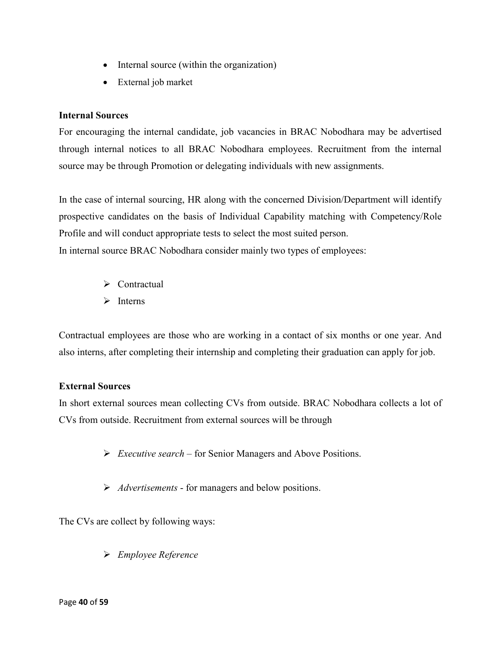- Internal source (within the organization)
- External job market

## **Internal Sources**

For encouraging the internal candidate, job vacancies in BRAC Nobodhara may be advertised through internal notices to all BRAC Nobodhara employees. Recruitment from the internal source may be through Promotion or delegating individuals with new assignments.

In the case of internal sourcing, HR along with the concerned Division/Department will identify prospective candidates on the basis of Individual Capability matching with Competency/Role Profile and will conduct appropriate tests to select the most suited person. In internal source BRAC Nobodhara consider mainly two types of employees:

- $\triangleright$  Contractual
- $\triangleright$  Interns

Contractual employees are those who are working in a contact of six months or one year. And also interns, after completing their internship and completing their graduation can apply for job.

## **External Sources**

In short external sources mean collecting CVs from outside. BRAC Nobodhara collects a lot of CVs from outside. Recruitment from external sources will be through

- *Executive search*  for Senior Managers and Above Positions.
- *Advertisements*  for managers and below positions.

The CVs are collect by following ways:

*Employee Reference*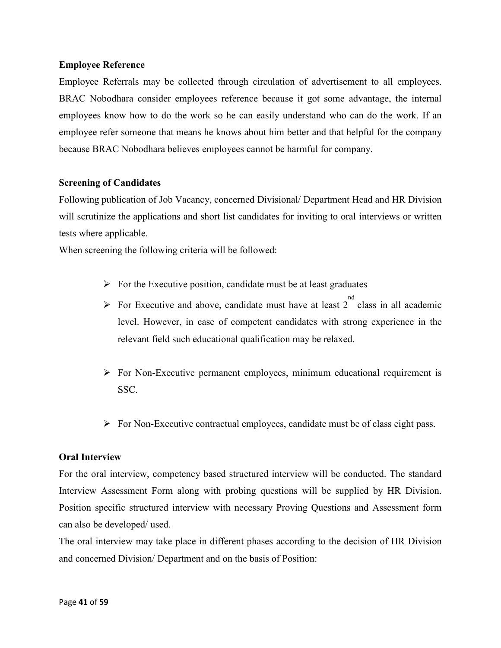### **Employee Reference**

Employee Referrals may be collected through circulation of advertisement to all employees. BRAC Nobodhara consider employees reference because it got some advantage, the internal employees know how to do the work so he can easily understand who can do the work. If an employee refer someone that means he knows about him better and that helpful for the company because BRAC Nobodhara believes employees cannot be harmful for company.

## **Screening of Candidates**

Following publication of Job Vacancy, concerned Divisional/ Department Head and HR Division will scrutinize the applications and short list candidates for inviting to oral interviews or written tests where applicable.

When screening the following criteria will be followed:

- $\triangleright$  For the Executive position, candidate must be at least graduates
- For Executive and above, candidate must have at least  $2^{nd}$  class in all academic level. However, in case of competent candidates with strong experience in the relevant field such educational qualification may be relaxed.
- $\triangleright$  For Non-Executive permanent employees, minimum educational requirement is SSC.
- $\triangleright$  For Non-Executive contractual employees, candidate must be of class eight pass.

## **Oral Interview**

For the oral interview, competency based structured interview will be conducted. The standard Interview Assessment Form along with probing questions will be supplied by HR Division. Position specific structured interview with necessary Proving Questions and Assessment form can also be developed/ used.

The oral interview may take place in different phases according to the decision of HR Division and concerned Division/ Department and on the basis of Position: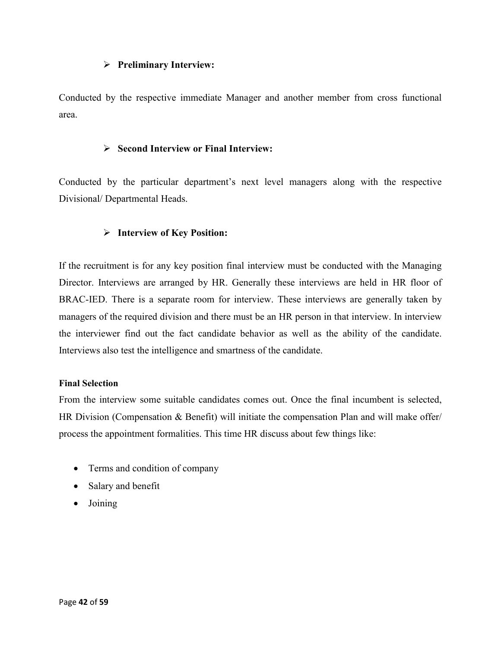#### **Preliminary Interview:**

Conducted by the respective immediate Manager and another member from cross functional area.

## **Second Interview or Final Interview:**

Conducted by the particular department's next level managers along with the respective Divisional/ Departmental Heads.

## **Interview of Key Position:**

If the recruitment is for any key position final interview must be conducted with the Managing Director. Interviews are arranged by HR. Generally these interviews are held in HR floor of BRAC-IED. There is a separate room for interview. These interviews are generally taken by managers of the required division and there must be an HR person in that interview. In interview the interviewer find out the fact candidate behavior as well as the ability of the candidate. Interviews also test the intelligence and smartness of the candidate.

#### **Final Selection**

From the interview some suitable candidates comes out. Once the final incumbent is selected, HR Division (Compensation & Benefit) will initiate the compensation Plan and will make offer/ process the appointment formalities. This time HR discuss about few things like:

- Terms and condition of company
- Salary and benefit
- Joining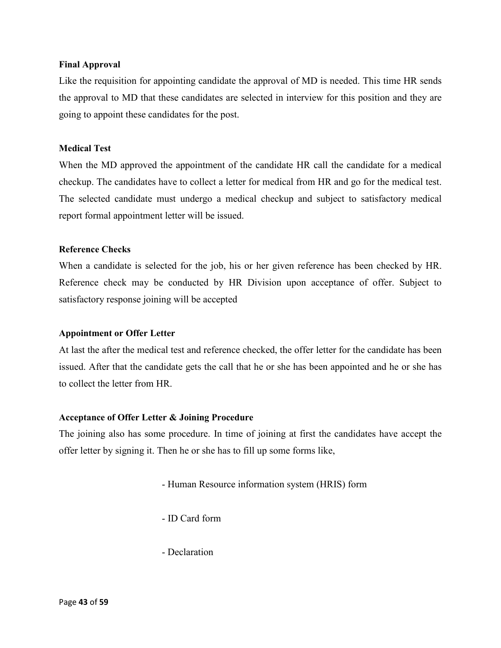#### **Final Approval**

Like the requisition for appointing candidate the approval of MD is needed. This time HR sends the approval to MD that these candidates are selected in interview for this position and they are going to appoint these candidates for the post.

#### **Medical Test**

When the MD approved the appointment of the candidate HR call the candidate for a medical checkup. The candidates have to collect a letter for medical from HR and go for the medical test. The selected candidate must undergo a medical checkup and subject to satisfactory medical report formal appointment letter will be issued.

#### **Reference Checks**

When a candidate is selected for the job, his or her given reference has been checked by HR. Reference check may be conducted by HR Division upon acceptance of offer. Subject to satisfactory response joining will be accepted

#### **Appointment or Offer Letter**

At last the after the medical test and reference checked, the offer letter for the candidate has been issued. After that the candidate gets the call that he or she has been appointed and he or she has to collect the letter from HR.

#### **Acceptance of Offer Letter & Joining Procedure**

The joining also has some procedure. In time of joining at first the candidates have accept the offer letter by signing it. Then he or she has to fill up some forms like,

- Human Resource information system (HRIS) form

- ID Card form

- Declaration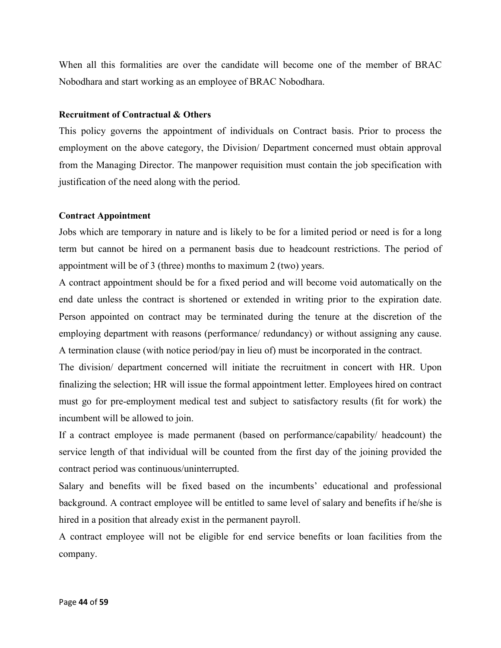When all this formalities are over the candidate will become one of the member of BRAC Nobodhara and start working as an employee of BRAC Nobodhara.

#### **Recruitment of Contractual & Others**

This policy governs the appointment of individuals on Contract basis. Prior to process the employment on the above category, the Division/ Department concerned must obtain approval from the Managing Director. The manpower requisition must contain the job specification with justification of the need along with the period.

## **Contract Appointment**

Jobs which are temporary in nature and is likely to be for a limited period or need is for a long term but cannot be hired on a permanent basis due to headcount restrictions. The period of appointment will be of 3 (three) months to maximum 2 (two) years.

A contract appointment should be for a fixed period and will become void automatically on the end date unless the contract is shortened or extended in writing prior to the expiration date. Person appointed on contract may be terminated during the tenure at the discretion of the employing department with reasons (performance/ redundancy) or without assigning any cause. A termination clause (with notice period/pay in lieu of) must be incorporated in the contract.

The division/ department concerned will initiate the recruitment in concert with HR. Upon finalizing the selection; HR will issue the formal appointment letter. Employees hired on contract must go for pre-employment medical test and subject to satisfactory results (fit for work) the incumbent will be allowed to join.

If a contract employee is made permanent (based on performance/capability/ headcount) the service length of that individual will be counted from the first day of the joining provided the contract period was continuous/uninterrupted.

Salary and benefits will be fixed based on the incumbents' educational and professional background. A contract employee will be entitled to same level of salary and benefits if he/she is hired in a position that already exist in the permanent payroll.

A contract employee will not be eligible for end service benefits or loan facilities from the company.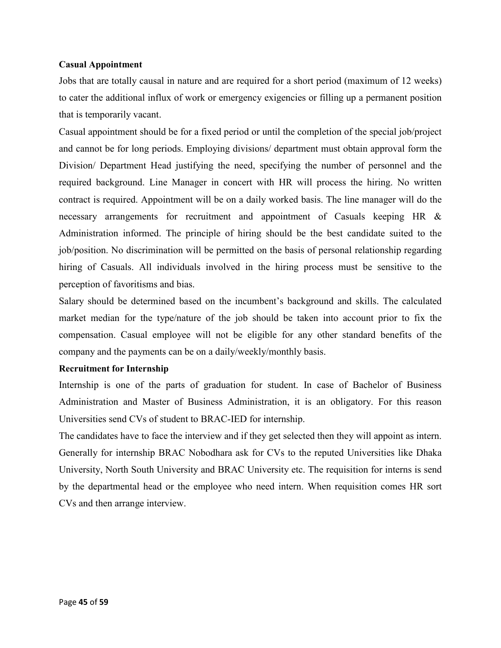#### **Casual Appointment**

Jobs that are totally causal in nature and are required for a short period (maximum of 12 weeks) to cater the additional influx of work or emergency exigencies or filling up a permanent position that is temporarily vacant.

Casual appointment should be for a fixed period or until the completion of the special job/project and cannot be for long periods. Employing divisions/ department must obtain approval form the Division/ Department Head justifying the need, specifying the number of personnel and the required background. Line Manager in concert with HR will process the hiring. No written contract is required. Appointment will be on a daily worked basis. The line manager will do the necessary arrangements for recruitment and appointment of Casuals keeping HR & Administration informed. The principle of hiring should be the best candidate suited to the job/position. No discrimination will be permitted on the basis of personal relationship regarding hiring of Casuals. All individuals involved in the hiring process must be sensitive to the perception of favoritisms and bias.

Salary should be determined based on the incumbent's background and skills. The calculated market median for the type/nature of the job should be taken into account prior to fix the compensation. Casual employee will not be eligible for any other standard benefits of the company and the payments can be on a daily/weekly/monthly basis.

#### **Recruitment for Internship**

Internship is one of the parts of graduation for student. In case of Bachelor of Business Administration and Master of Business Administration, it is an obligatory. For this reason Universities send CVs of student to BRAC-IED for internship.

The candidates have to face the interview and if they get selected then they will appoint as intern. Generally for internship BRAC Nobodhara ask for CVs to the reputed Universities like Dhaka University, North South University and BRAC University etc. The requisition for interns is send by the departmental head or the employee who need intern. When requisition comes HR sort CVs and then arrange interview.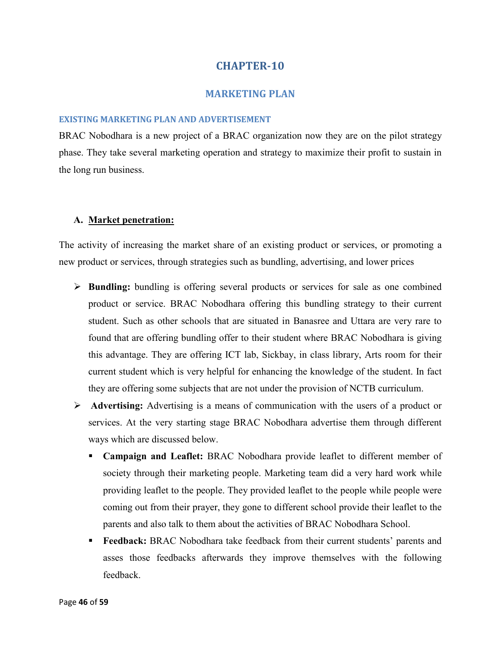#### **MARKETING PLAN**

#### **EXISTING MARKETING PLAN AND ADVERTISEMENT**

BRAC Nobodhara is a new project of a BRAC organization now they are on the pilot strategy phase. They take several marketing operation and strategy to maximize their profit to sustain in the long run business.

#### **A. Market penetration:**

The activity of increasing the market share of an existing product or services, or promoting a new product or services, through strategies such as bundling, advertising, and lower prices

- **Bundling:** bundling is offering several products or services for sale as one combined product or service. BRAC Nobodhara offering this bundling strategy to their current student. Such as other schools that are situated in Banasree and Uttara are very rare to found that are offering bundling offer to their student where BRAC Nobodhara is giving this advantage. They are offering ICT lab, Sickbay, in class library, Arts room for their current student which is very helpful for enhancing the knowledge of the student. In fact they are offering some subjects that are not under the provision of NCTB curriculum.
- **Advertising:** Advertising is a means of communication with the users of a product or services. At the very starting stage BRAC Nobodhara advertise them through different ways which are discussed below.
	- **Campaign and Leaflet:** BRAC Nobodhara provide leaflet to different member of society through their marketing people. Marketing team did a very hard work while providing leaflet to the people. They provided leaflet to the people while people were coming out from their prayer, they gone to different school provide their leaflet to the parents and also talk to them about the activities of BRAC Nobodhara School.
	- **Feedback:** BRAC Nobodhara take feedback from their current students' parents and asses those feedbacks afterwards they improve themselves with the following feedback.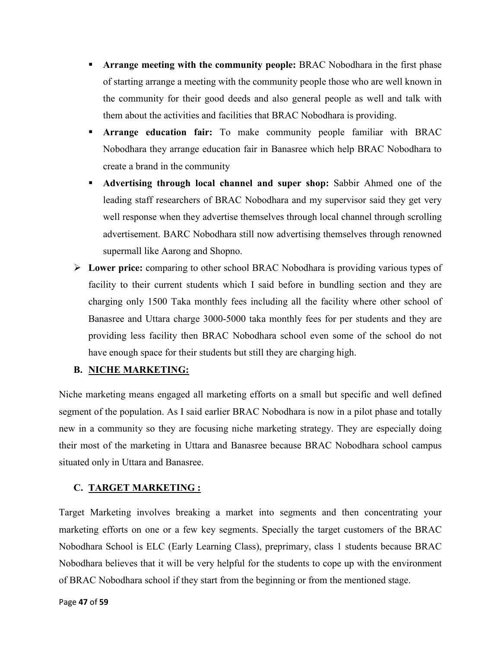- **Arrange meeting with the community people:** BRAC Nobodhara in the first phase of starting arrange a meeting with the community people those who are well known in the community for their good deeds and also general people as well and talk with them about the activities and facilities that BRAC Nobodhara is providing.
- **Arrange education fair:** To make community people familiar with BRAC Nobodhara they arrange education fair in Banasree which help BRAC Nobodhara to create a brand in the community
- **Advertising through local channel and super shop:** Sabbir Ahmed one of the leading staff researchers of BRAC Nobodhara and my supervisor said they get very well response when they advertise themselves through local channel through scrolling advertisement. BARC Nobodhara still now advertising themselves through renowned supermall like Aarong and Shopno.
- **Lower price:** comparing to other school BRAC Nobodhara is providing various types of facility to their current students which I said before in bundling section and they are charging only 1500 Taka monthly fees including all the facility where other school of Banasree and Uttara charge 3000-5000 taka monthly fees for per students and they are providing less facility then BRAC Nobodhara school even some of the school do not have enough space for their students but still they are charging high.

## **B. NICHE MARKETING:**

Niche marketing means engaged all marketing efforts on a small but specific and well defined segment of the population. As I said earlier BRAC Nobodhara is now in a pilot phase and totally new in a community so they are focusing niche marketing strategy. They are especially doing their most of the marketing in Uttara and Banasree because BRAC Nobodhara school campus situated only in Uttara and Banasree.

## **C. TARGET MARKETING :**

Target Marketing involves breaking a market into segments and then concentrating your marketing efforts on one or a few key segments. Specially the target customers of the BRAC Nobodhara School is ELC (Early Learning Class), preprimary, class 1 students because BRAC Nobodhara believes that it will be very helpful for the students to cope up with the environment of BRAC Nobodhara school if they start from the beginning or from the mentioned stage.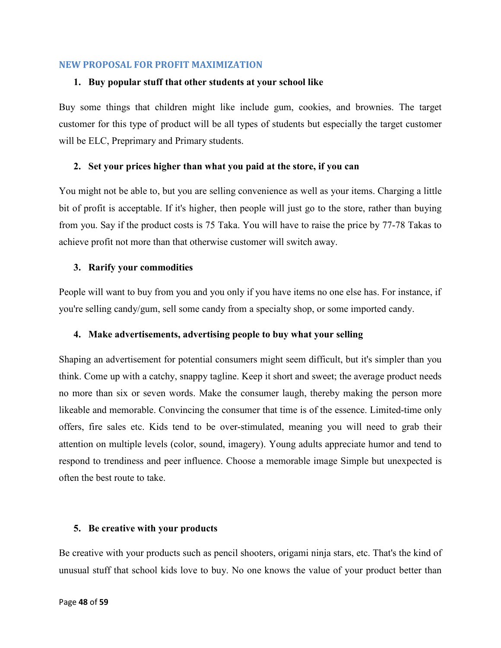#### **NEW PROPOSAL FOR PROFIT MAXIMIZATION**

#### **1. Buy popular stuff that other students at your school like**

Buy some things that children might like include gum, cookies, and brownies. The target customer for this type of product will be all types of students but especially the target customer will be ELC, Preprimary and Primary students.

#### **2. Set your prices higher than what you paid at the store, if you can**

You might not be able to, but you are selling convenience as well as your items. Charging a little bit of profit is acceptable. If it's higher, then people will just go to the store, rather than buying from you. Say if the product costs is 75 Taka. You will have to raise the price by 77-78 Takas to achieve profit not more than that otherwise customer will switch away.

#### **3. Rarify your commodities**

People will want to buy from you and you only if you have items no one else has. For instance, if you're selling candy/gum, sell some candy from a specialty shop, or some imported candy.

#### **4. Make advertisements, advertising people to buy what your selling**

Shaping an advertisement for potential consumers might seem difficult, but it's simpler than you think. Come up with a catchy, snappy tagline. Keep it short and sweet; the average product needs no more than six or seven words. Make the consumer laugh, thereby making the person more likeable and memorable. Convincing the consumer that time is of the essence. Limited-time only offers, fire sales etc. Kids tend to be over-stimulated, meaning you will need to grab their attention on multiple levels (color, sound, imagery). Young adults appreciate humor and tend to respond to trendiness and peer influence. Choose a memorable image Simple but unexpected is often the best route to take.

#### **5. Be creative with your products**

Be creative with your products such as pencil shooters, origami ninja stars, etc. That's the kind of unusual stuff that school kids love to buy. No one knows the value of your product better than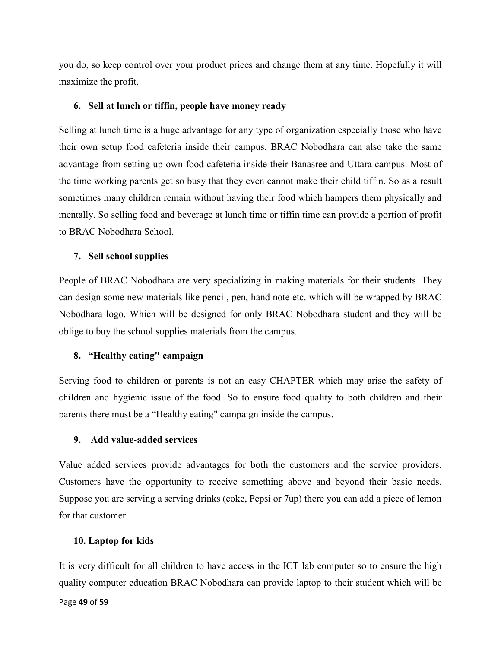you do, so keep control over your product prices and change them at any time. Hopefully it will maximize the profit.

## **6. Sell at lunch or tiffin, people have money ready**

Selling at lunch time is a huge advantage for any type of organization especially those who have their own setup food cafeteria inside their campus. BRAC Nobodhara can also take the same advantage from setting up own food cafeteria inside their Banasree and Uttara campus. Most of the time working parents get so busy that they even cannot make their child tiffin. So as a result sometimes many children remain without having their food which hampers them physically and mentally. So selling food and beverage at lunch time or tiffin time can provide a portion of profit to BRAC Nobodhara School.

## **7. Sell school supplies**

People of BRAC Nobodhara are very specializing in making materials for their students. They can design some new materials like pencil, pen, hand note etc. which will be wrapped by BRAC Nobodhara logo. Which will be designed for only BRAC Nobodhara student and they will be oblige to buy the school supplies materials from the campus.

## **8. "Healthy eating" campaign**

Serving food to children or parents is not an easy CHAPTER which may arise the safety of children and hygienic issue of the food. So to ensure food quality to both children and their parents there must be a "Healthy eating" campaign inside the campus.

## **9. Add value-added services**

Value added services provide advantages for both the customers and the service providers. Customers have the opportunity to receive something above and beyond their basic needs. Suppose you are serving a serving drinks (coke, Pepsi or 7up) there you can add a piece of lemon for that customer.

## **10. Laptop for kids**

It is very difficult for all children to have access in the ICT lab computer so to ensure the high quality computer education BRAC Nobodhara can provide laptop to their student which will be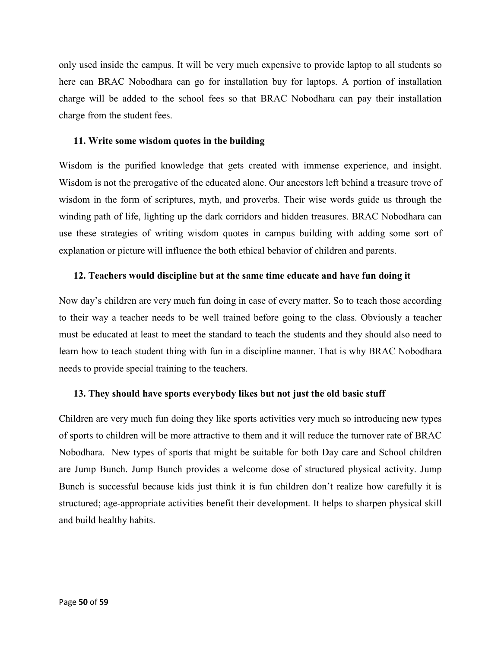only used inside the campus. It will be very much expensive to provide laptop to all students so here can BRAC Nobodhara can go for installation buy for laptops. A portion of installation charge will be added to the school fees so that BRAC Nobodhara can pay their installation charge from the student fees.

## **11. Write some wisdom quotes in the building**

Wisdom is the purified knowledge that gets created with immense experience, and insight. Wisdom is not the prerogative of the educated alone. Our ancestors left behind a treasure trove of wisdom in the form of scriptures, myth, and proverbs. Their wise words guide us through the winding path of life, lighting up the dark corridors and hidden treasures. BRAC Nobodhara can use these strategies of writing wisdom quotes in campus building with adding some sort of explanation or picture will influence the both ethical behavior of children and parents.

## **12. Teachers would discipline but at the same time educate and have fun doing it**

Now day's children are very much fun doing in case of every matter. So to teach those according to their way a teacher needs to be well trained before going to the class. Obviously a teacher must be educated at least to meet the standard to teach the students and they should also need to learn how to teach student thing with fun in a discipline manner. That is why BRAC Nobodhara needs to provide special training to the teachers.

## **13. They should have sports everybody likes but not just the old basic stuff**

Children are very much fun doing they like sports activities very much so introducing new types of sports to children will be more attractive to them and it will reduce the turnover rate of BRAC Nobodhara. New types of sports that might be suitable for both Day care and School children are Jump Bunch. Jump Bunch provides a welcome dose of structured physical activity. Jump Bunch is successful because kids just think it is fun children don't realize how carefully it is structured; age-appropriate activities benefit their development. It helps to sharpen physical skill and build healthy habits.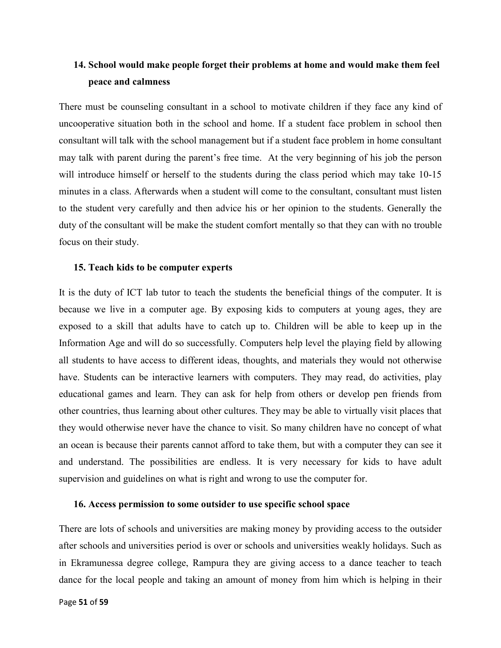# **14. School would make people forget their problems at home and would make them feel peace and calmness**

There must be counseling consultant in a school to motivate children if they face any kind of uncooperative situation both in the school and home. If a student face problem in school then consultant will talk with the school management but if a student face problem in home consultant may talk with parent during the parent's free time. At the very beginning of his job the person will introduce himself or herself to the students during the class period which may take 10-15 minutes in a class. Afterwards when a student will come to the consultant, consultant must listen to the student very carefully and then advice his or her opinion to the students. Generally the duty of the consultant will be make the student comfort mentally so that they can with no trouble focus on their study.

#### **15. Teach kids to be computer experts**

It is the duty of ICT lab tutor to teach the students the beneficial things of the computer. It is because we live in a computer age. By exposing kids to computers at young ages, they are exposed to a skill that adults have to catch up to. Children will be able to keep up in the Information Age and will do so successfully. Computers help level the playing field by allowing all students to have access to different ideas, thoughts, and materials they would not otherwise have. Students can be interactive learners with computers. They may read, do activities, play educational games and learn. They can ask for help from others or develop pen friends from other countries, thus learning about other cultures. They may be able to virtually visit places that they would otherwise never have the chance to visit. So many children have no concept of what an ocean is because their parents cannot afford to take them, but with a computer they can see it and understand. The possibilities are endless. It is very necessary for kids to have adult supervision and guidelines on what is right and wrong to use the computer for.

#### **16. Access permission to some outsider to use specific school space**

There are lots of schools and universities are making money by providing access to the outsider after schools and universities period is over or schools and universities weakly holidays. Such as in Ekramunessa degree college, Rampura they are giving access to a dance teacher to teach dance for the local people and taking an amount of money from him which is helping in their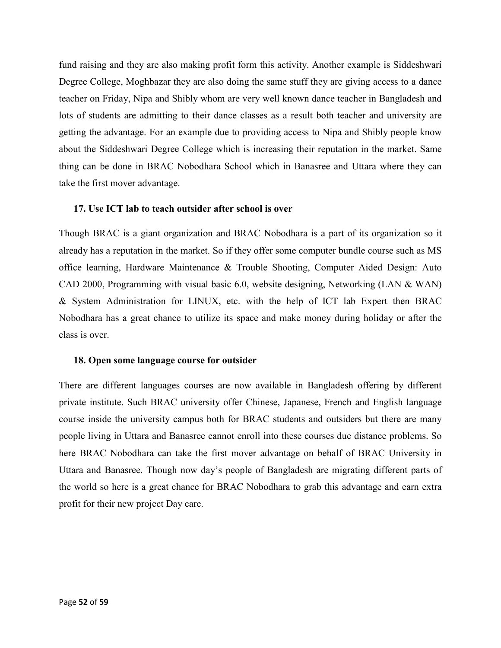fund raising and they are also making profit form this activity. Another example is Siddeshwari Degree College, Moghbazar they are also doing the same stuff they are giving access to a dance teacher on Friday, Nipa and Shibly whom are very well known dance teacher in Bangladesh and lots of students are admitting to their dance classes as a result both teacher and university are getting the advantage. For an example due to providing access to Nipa and Shibly people know about the Siddeshwari Degree College which is increasing their reputation in the market. Same thing can be done in BRAC Nobodhara School which in Banasree and Uttara where they can take the first mover advantage.

#### **17. Use ICT lab to teach outsider after school is over**

Though BRAC is a giant organization and BRAC Nobodhara is a part of its organization so it already has a reputation in the market. So if they offer some computer bundle course such as MS office learning, Hardware Maintenance & Trouble Shooting, Computer Aided Design: Auto CAD 2000, Programming with visual basic 6.0, website designing, Networking (LAN & WAN) & System Administration for LINUX, etc. with the help of ICT lab Expert then BRAC Nobodhara has a great chance to utilize its space and make money during holiday or after the class is over.

#### **18. Open some language course for outsider**

There are different languages courses are now available in Bangladesh offering by different private institute. Such BRAC university offer Chinese, Japanese, French and English language course inside the university campus both for BRAC students and outsiders but there are many people living in Uttara and Banasree cannot enroll into these courses due distance problems. So here BRAC Nobodhara can take the first mover advantage on behalf of BRAC University in Uttara and Banasree. Though now day's people of Bangladesh are migrating different parts of the world so here is a great chance for BRAC Nobodhara to grab this advantage and earn extra profit for their new project Day care.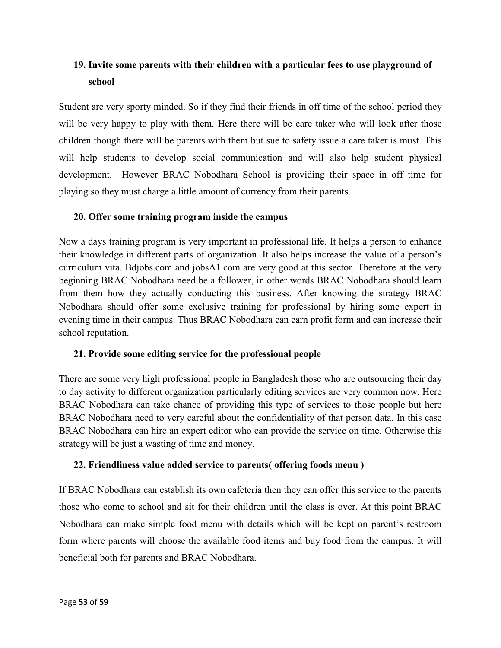# **19. Invite some parents with their children with a particular fees to use playground of school**

Student are very sporty minded. So if they find their friends in off time of the school period they will be very happy to play with them. Here there will be care taker who will look after those children though there will be parents with them but sue to safety issue a care taker is must. This will help students to develop social communication and will also help student physical development. However BRAC Nobodhara School is providing their space in off time for playing so they must charge a little amount of currency from their parents.

## **20. Offer some training program inside the campus**

Now a days training program is very important in professional life. It helps a person to enhance their knowledge in different parts of organization. It also helps increase the value of a person's curriculum vita. Bdjobs.com and jobsA1.com are very good at this sector. Therefore at the very beginning BRAC Nobodhara need be a follower, in other words BRAC Nobodhara should learn from them how they actually conducting this business. After knowing the strategy BRAC Nobodhara should offer some exclusive training for professional by hiring some expert in evening time in their campus. Thus BRAC Nobodhara can earn profit form and can increase their school reputation.

## **21. Provide some editing service for the professional people**

There are some very high professional people in Bangladesh those who are outsourcing their day to day activity to different organization particularly editing services are very common now. Here BRAC Nobodhara can take chance of providing this type of services to those people but here BRAC Nobodhara need to very careful about the confidentiality of that person data. In this case BRAC Nobodhara can hire an expert editor who can provide the service on time. Otherwise this strategy will be just a wasting of time and money.

## **22. Friendliness value added service to parents( offering foods menu )**

If BRAC Nobodhara can establish its own cafeteria then they can offer this service to the parents those who come to school and sit for their children until the class is over. At this point BRAC Nobodhara can make simple food menu with details which will be kept on parent's restroom form where parents will choose the available food items and buy food from the campus. It will beneficial both for parents and BRAC Nobodhara.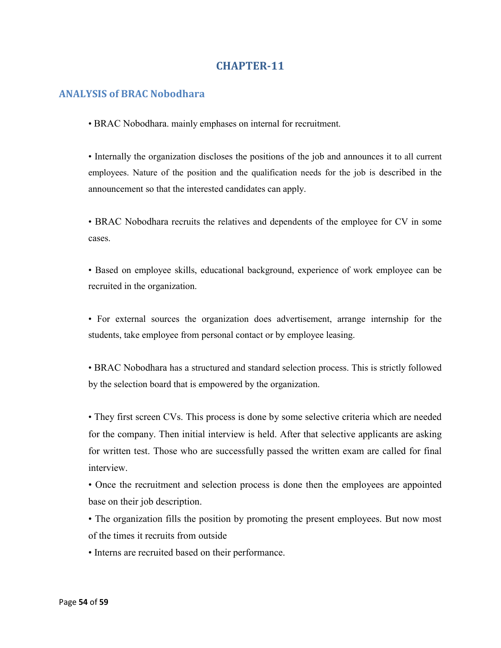## **ANALYSIS of BRAC Nobodhara**

• BRAC Nobodhara. mainly emphases on internal for recruitment.

• Internally the organization discloses the positions of the job and announces it to all current employees. Nature of the position and the qualification needs for the job is described in the announcement so that the interested candidates can apply.

• BRAC Nobodhara recruits the relatives and dependents of the employee for CV in some cases.

• Based on employee skills, educational background, experience of work employee can be recruited in the organization.

• For external sources the organization does advertisement, arrange internship for the students, take employee from personal contact or by employee leasing.

• BRAC Nobodhara has a structured and standard selection process. This is strictly followed by the selection board that is empowered by the organization.

• They first screen CVs. This process is done by some selective criteria which are needed for the company. Then initial interview is held. After that selective applicants are asking for written test. Those who are successfully passed the written exam are called for final interview.

• Once the recruitment and selection process is done then the employees are appointed base on their job description.

• The organization fills the position by promoting the present employees. But now most of the times it recruits from outside

• Interns are recruited based on their performance.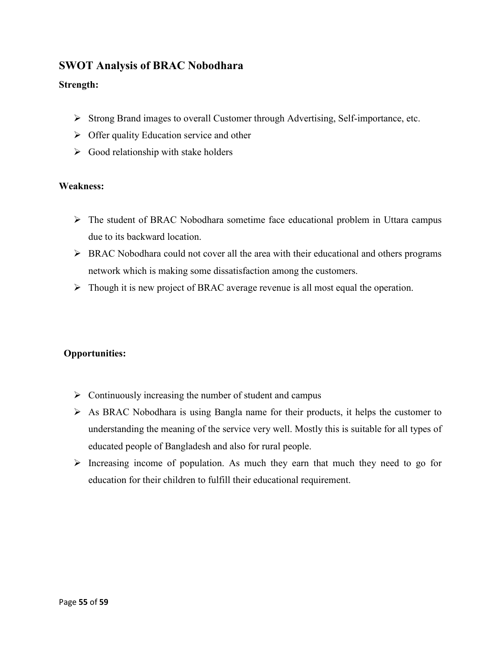# **SWOT Analysis of BRAC Nobodhara**

## **Strength:**

- Strong Brand images to overall Customer through Advertising, Self-importance, etc.
- $\triangleright$  Offer quality Education service and other
- $\triangleright$  Good relationship with stake holders

## **Weakness:**

- The student of BRAC Nobodhara sometime face educational problem in Uttara campus due to its backward location.
- $\triangleright$  BRAC Nobodhara could not cover all the area with their educational and others programs network which is making some dissatisfaction among the customers.
- $\triangleright$  Though it is new project of BRAC average revenue is all most equal the operation.

# **Opportunities:**

- $\triangleright$  Continuously increasing the number of student and campus
- As BRAC Nobodhara is using Bangla name for their products, it helps the customer to understanding the meaning of the service very well. Mostly this is suitable for all types of educated people of Bangladesh and also for rural people.
- $\triangleright$  Increasing income of population. As much they earn that much they need to go for education for their children to fulfill their educational requirement.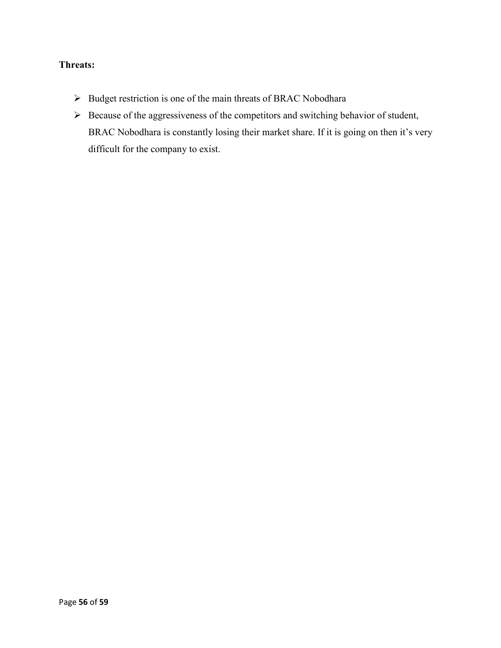## **Threats:**

- $\triangleright$  Budget restriction is one of the main threats of BRAC Nobodhara
- $\triangleright$  Because of the aggressiveness of the competitors and switching behavior of student, BRAC Nobodhara is constantly losing their market share. If it is going on then it's very difficult for the company to exist.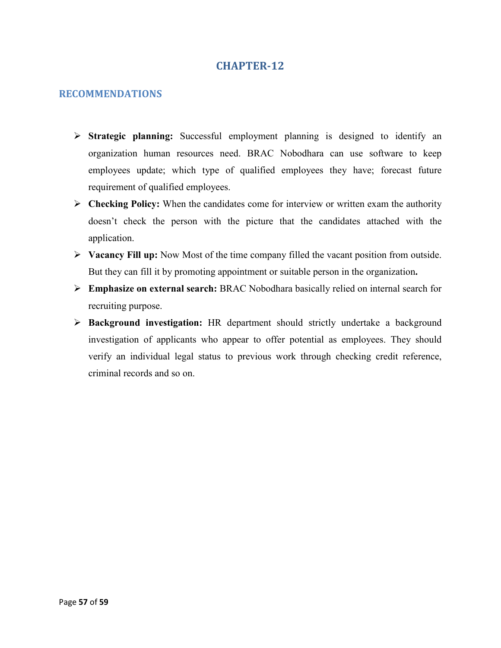## **RECOMMENDATIONS**

- **Strategic planning:** Successful employment planning is designed to identify an organization human resources need. BRAC Nobodhara can use software to keep employees update; which type of qualified employees they have; forecast future requirement of qualified employees.
- **Checking Policy:** When the candidates come for interview or written exam the authority doesn't check the person with the picture that the candidates attached with the application.
- **Vacancy Fill up:** Now Most of the time company filled the vacant position from outside. But they can fill it by promoting appointment or suitable person in the organization**.**
- **Emphasize on external search:** BRAC Nobodhara basically relied on internal search for recruiting purpose.
- **Background investigation:** HR department should strictly undertake a background investigation of applicants who appear to offer potential as employees. They should verify an individual legal status to previous work through checking credit reference, criminal records and so on.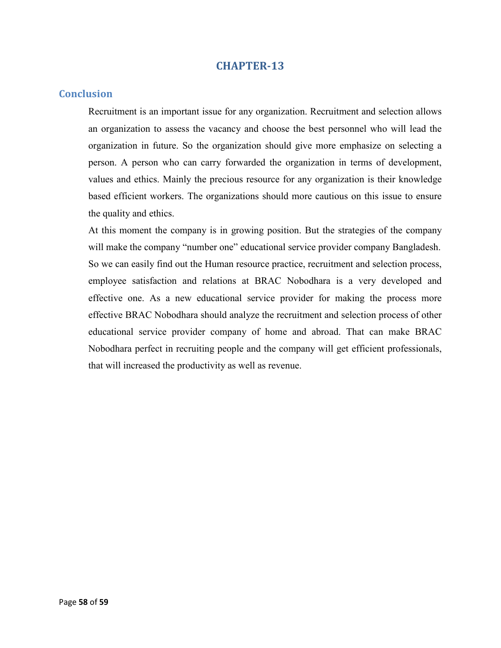#### **Conclusion**

Recruitment is an important issue for any organization. Recruitment and selection allows an organization to assess the vacancy and choose the best personnel who will lead the organization in future. So the organization should give more emphasize on selecting a person. A person who can carry forwarded the organization in terms of development, values and ethics. Mainly the precious resource for any organization is their knowledge based efficient workers. The organizations should more cautious on this issue to ensure the quality and ethics.

At this moment the company is in growing position. But the strategies of the company will make the company "number one" educational service provider company Bangladesh. So we can easily find out the Human resource practice, recruitment and selection process, employee satisfaction and relations at BRAC Nobodhara is a very developed and effective one. As a new educational service provider for making the process more effective BRAC Nobodhara should analyze the recruitment and selection process of other educational service provider company of home and abroad. That can make BRAC Nobodhara perfect in recruiting people and the company will get efficient professionals, that will increased the productivity as well as revenue.